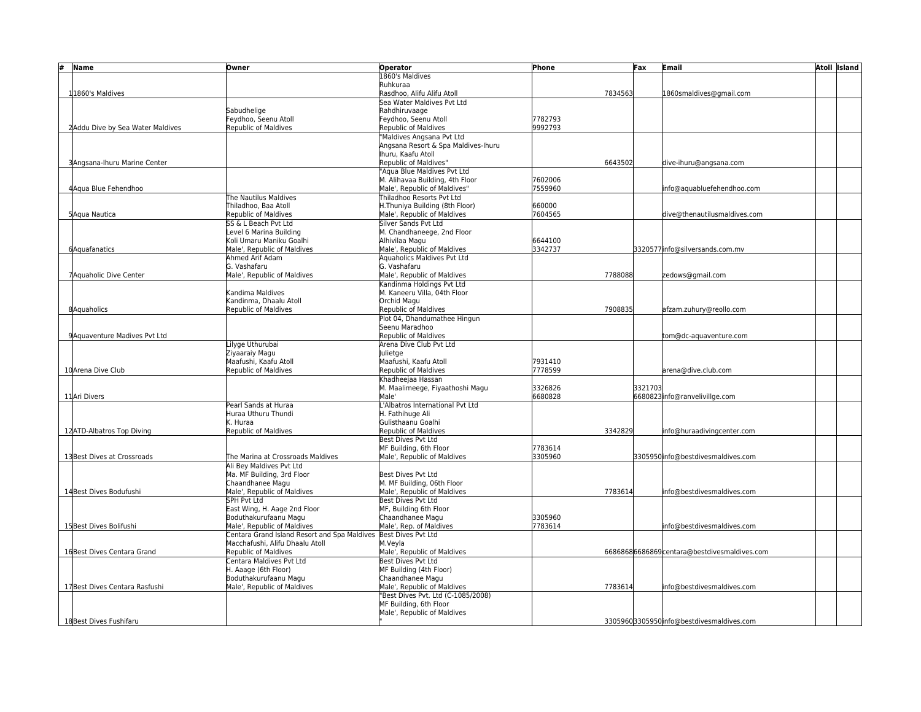| #<br>Name                        | Owner                                                           | <b>Operator</b>                                           | Phone   | Fax     | Email                                       | Atoll Island |
|----------------------------------|-----------------------------------------------------------------|-----------------------------------------------------------|---------|---------|---------------------------------------------|--------------|
|                                  |                                                                 | 1860's Maldives                                           |         |         |                                             |              |
|                                  |                                                                 | Ruhkuraa                                                  |         |         |                                             |              |
| 11860's Maldives                 |                                                                 | Rasdhoo, Alifu Alifu Atoll                                | 7834563 |         | 1860smaldives@gmail.com                     |              |
|                                  |                                                                 | Sea Water Maldives Pvt Ltd                                |         |         |                                             |              |
|                                  | Sabudhelige                                                     | Rahdhiruvaage                                             |         |         |                                             |              |
|                                  | Feydhoo, Seenu Atoll                                            | Feydhoo, Seenu Atoll                                      | 7782793 |         |                                             |              |
| 2Addu Dive by Sea Water Maldives | <b>Republic of Maldives</b>                                     | Republic of Maldives                                      | 9992793 |         |                                             |              |
|                                  |                                                                 | "Maldives Angsana Pvt Ltd                                 |         |         |                                             |              |
|                                  |                                                                 | Angsana Resort & Spa Maldives-Ihuru<br>Ihuru. Kaafu Atoll |         |         |                                             |              |
| 3 Angsana-Ihuru Marine Center    |                                                                 | Republic of Maldives"                                     | 6643502 |         | dive-ihuru@angsana.com                      |              |
|                                  |                                                                 | "Aqua Blue Maldives Pvt Ltd                               |         |         |                                             |              |
|                                  |                                                                 | M. Alihavaa Building, 4th Floor                           | 7602006 |         |                                             |              |
| 4 Agua Blue Fehendhoo            |                                                                 | Male', Republic of Maldives"                              | 7559960 |         | nfo@aquabluefehendhoo.com                   |              |
|                                  | The Nautilus Maldives                                           | Thiladhoo Resorts Pvt Ltd                                 |         |         |                                             |              |
|                                  | Thiladhoo, Baa Atoll                                            | H.Thuniya Building (8th Floor)                            | 660000  |         |                                             |              |
| 5Aqua Nautica                    | Republic of Maldives                                            | Male', Republic of Maldives                               | 7604565 |         | dive@thenautilusmaldives.com                |              |
|                                  | SS & L Beach Pyt Ltd                                            | Silver Sands Pvt Ltd                                      |         |         |                                             |              |
|                                  | evel 6 Marina Building                                          | M. Chandhaneege, 2nd Floor                                |         |         |                                             |              |
|                                  | Koli Umaru Maniku Goalhi                                        | Alhivilaa Magu                                            | 6644100 |         |                                             |              |
| 6Aquafanatics                    | Male', Republic of Maldives                                     | Male', Republic of Maldives                               | 3342737 |         | 3320577info@silversands.com.mv              |              |
|                                  | Ahmed Arif Adam                                                 | Aquaholics Maldives Pvt Ltd                               |         |         |                                             |              |
|                                  | G. Vashafaru                                                    | G. Vashafaru                                              |         |         |                                             |              |
| 7Aquaholic Dive Center           | Male', Republic of Maldives                                     | Male', Republic of Maldives                               | 7788088 |         | zedows@gmail.com                            |              |
|                                  |                                                                 | Kandinma Holdings Pvt Ltd                                 |         |         |                                             |              |
|                                  | <b>Kandima Maldives</b>                                         | M. Kaneeru Villa, 04th Floor                              |         |         |                                             |              |
|                                  | Kandinma, Dhaalu Atoll                                          | Orchid Magu                                               |         |         |                                             |              |
| 8Aquaholics                      | Republic of Maldives                                            | Republic of Maldives                                      | 7908835 |         | afzam.zuhury@reollo.com                     |              |
|                                  |                                                                 | Plot 04, Dhandumathee Hingun                              |         |         |                                             |              |
|                                  |                                                                 | Seenu Maradhoo                                            |         |         |                                             |              |
| 9 Aquaventure Madives Pvt Ltd    |                                                                 | Republic of Maldives                                      |         |         | tom@dc-aquaventure.com                      |              |
|                                  | ilyge Uthurubai                                                 | Arena Dive Club Pvt Ltd                                   |         |         |                                             |              |
|                                  | Ziyaaraiy Magu                                                  | lulietge                                                  |         |         |                                             |              |
|                                  | Maafushi, Kaafu Atoll                                           | Maafushi, Kaafu Atoll                                     | 7931410 |         |                                             |              |
| 10 Arena Dive Club               | Republic of Maldives                                            | Republic of Maldives                                      | 7778599 |         | arena@dive.club.com                         |              |
|                                  |                                                                 | Khadheejaa Hassan                                         |         |         |                                             |              |
|                                  |                                                                 | M. Maalimeege, Fiyaathoshi Magu                           | 3326826 | 3321703 |                                             |              |
| 11Ari Divers                     |                                                                 | Male'                                                     | 6680828 |         | 6680823info@ranvelivillge.com               |              |
|                                  | Pearl Sands at Huraa                                            | L'Albatros International Pvt Ltd                          |         |         |                                             |              |
|                                  | Huraa Uthuru Thundi                                             | H. Fathihuge Ali                                          |         |         |                                             |              |
|                                  | C. Huraa                                                        | Gulisthaanu Goalhi                                        |         |         |                                             |              |
| 12ATD-Albatros Top Diving        | Republic of Maldives                                            | Republic of Maldives                                      | 3342829 |         | nfo@huraadivingcenter.com                   |              |
|                                  |                                                                 | Best Dives Pyt Ltd                                        |         |         |                                             |              |
|                                  |                                                                 | MF Building, 6th Floor                                    | 7783614 |         |                                             |              |
| 13 Best Dives at Crossroads      | The Marina at Crossroads Maldives                               | Male', Republic of Maldives                               | 3305960 |         | 3305950 info@bestdivesmaldives.com          |              |
|                                  | Ali Bey Maldives Pyt Ltd                                        |                                                           |         |         |                                             |              |
|                                  | Ma. MF Building, 3rd Floor                                      | Best Dives Pvt Ltd                                        |         |         |                                             |              |
|                                  | Chaandhanee Magu                                                | M. MF Building, 06th Floor                                |         |         |                                             |              |
| 14 Best Dives Bodufushi          | Male', Republic of Maldives                                     | Male', Republic of Maldives                               | 7783614 |         | nfo@bestdivesmaldives.com                   |              |
|                                  | SPH Pvt Ltd                                                     | Best Dives Pyt Ltd                                        |         |         |                                             |              |
|                                  | East Wing, H. Aage 2nd Floor                                    | MF, Building 6th Floor                                    |         |         |                                             |              |
|                                  | Boduthakurufaanu Magu                                           | Chaandhanee Magu                                          | 3305960 |         |                                             |              |
| 15 Best Dives Bolifushi          | Male', Republic of Maldives                                     | Male', Rep. of Maldives                                   | 7783614 |         | nfo@bestdivesmaldives.com                   |              |
|                                  | Centara Grand Island Resort and Spa Maldives Best Dives Pvt Ltd |                                                           |         |         |                                             |              |
|                                  | Macchafushi, Alifu Dhaalu Atoll                                 | M.Veyla                                                   |         |         |                                             |              |
| 16 Best Dives Centara Grand      | Republic of Maldives                                            | Male', Republic of Maldives                               |         |         | 66868686686869centara@bestdivesmaldives.com |              |
|                                  | Centara Maldives Pvt Ltd                                        | Best Dives Pvt Ltd                                        |         |         |                                             |              |
|                                  | H. Aaage (6th Floor)                                            | MF Building (4th Floor)                                   |         |         |                                             |              |
|                                  | Boduthakurufaanu Magu                                           | Chaandhanee Magu                                          |         |         |                                             |              |
| 17 Best Dives Centara Rasfushi   | Male', Republic of Maldives                                     | Male', Republic of Maldives                               | 7783614 |         | nfo@bestdivesmaldives.com                   |              |
|                                  |                                                                 | "Best Dives Pvt. Ltd (C-1085/2008)                        |         |         |                                             |              |
|                                  |                                                                 | MF Building, 6th Floor                                    |         |         |                                             |              |
|                                  |                                                                 | Male', Republic of Maldives                               |         |         |                                             |              |
| 18 Best Dives Fushifaru          |                                                                 |                                                           |         |         | 33059603305950info@bestdivesmaldives.com    |              |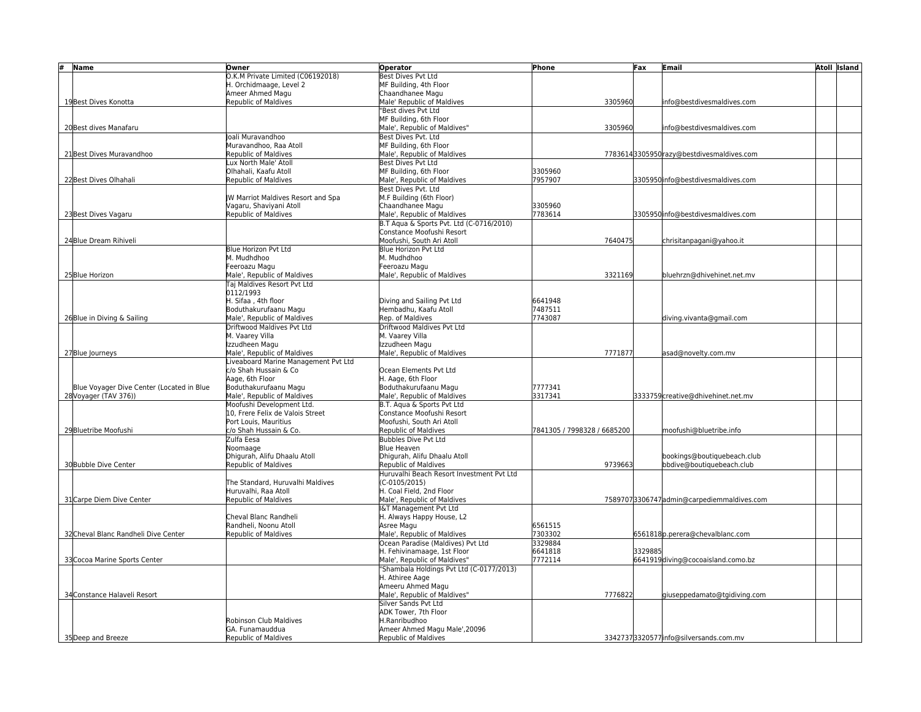| #<br><b>Name</b>                          | Owner                                    | <b>Operator</b>                           | Phone                       | Fax     | Email                                     | <b>Atoll Island</b> |
|-------------------------------------------|------------------------------------------|-------------------------------------------|-----------------------------|---------|-------------------------------------------|---------------------|
|                                           | O.K.M Private Limited (C06192018)        | Best Dives Pvt Ltd                        |                             |         |                                           |                     |
|                                           | H. Orchidmaage, Level 2                  | MF Building, 4th Floor                    |                             |         |                                           |                     |
|                                           | Ameer Ahmed Magu                         | Chaandhanee Magu                          |                             |         |                                           |                     |
| 19 Best Dives Konotta                     | <b>Republic of Maldives</b>              | Male' Republic of Maldives                | 3305960                     |         | nfo@bestdivesmaldives.com                 |                     |
|                                           |                                          | "Best dives Pvt Ltd                       |                             |         |                                           |                     |
|                                           |                                          | MF Building, 6th Floor                    |                             |         |                                           |                     |
| 20 Best dives Manafaru                    |                                          | Male', Republic of Maldives"              | 3305960                     |         | nfo@bestdivesmaldives.com                 |                     |
|                                           | loali Muravandhoo                        | Best Dives Pyt. Ltd                       |                             |         |                                           |                     |
|                                           | Muravandhoo, Raa Atoll                   | MF Building, 6th Floor                    |                             |         |                                           |                     |
| 21 Best Dives Muravandhoo                 | <b>Republic of Maldives</b>              | Male', Republic of Maldives               |                             |         | 77836143305950 razy@bestdivesmaldives.com |                     |
|                                           | Lux North Male' Atoll                    | <b>Best Dives Pyt Ltd</b>                 |                             |         |                                           |                     |
|                                           | Olhahali, Kaafu Atoll                    | MF Building, 6th Floor                    |                             |         |                                           |                     |
|                                           |                                          |                                           | 3305960<br>7957907          |         |                                           |                     |
| 22 Best Dives Olhahali                    | <b>Republic of Maldives</b>              | Male', Republic of Maldives               |                             |         | 3305950 info@bestdivesmaldives.com        |                     |
|                                           |                                          | Best Dives Pyt. Ltd                       |                             |         |                                           |                     |
|                                           | <b>W Marriot Maldives Resort and Spa</b> | M.F Building (6th Floor)                  |                             |         |                                           |                     |
|                                           | Vagaru, Shaviyani Atoll                  | Chaandhanee Magu                          | 3305960                     |         |                                           |                     |
| 23 Best Dives Vagaru                      | Republic of Maldives                     | Male', Republic of Maldives               | 7783614                     |         | 3305950 info@bestdivesmaldives.com        |                     |
|                                           |                                          | B.T Agua & Sports Pvt. Ltd (C-0716/2010)  |                             |         |                                           |                     |
|                                           |                                          | Constance Moofushi Resort                 |                             |         |                                           |                     |
| 24 Blue Dream Rihiveli                    |                                          | Moofushi, South Ari Atoll                 | 7640475                     |         | chrisitanpagani@yahoo.it                  |                     |
|                                           | Blue Horizon Pvt Ltd                     | Blue Horizon Pyt Ltd                      |                             |         |                                           |                     |
|                                           | M. Mudhdhoo                              | M. Mudhdhoo                               |                             |         |                                           |                     |
|                                           | Feeroazu Magu                            | Feeroazu Magu                             |                             |         |                                           |                     |
| 25 Blue Horizon                           | Male', Republic of Maldives              | Male', Republic of Maldives               | 3321169                     |         | bluehrzn@dhivehinet.net.mv                |                     |
|                                           | Tai Maldives Resort Pyt Ltd              |                                           |                             |         |                                           |                     |
|                                           | 0112/1993                                |                                           |                             |         |                                           |                     |
|                                           | H. Sifaa, 4th floor                      | Diving and Sailing Pvt Ltd                | 6641948                     |         |                                           |                     |
|                                           | Boduthakurufaanu Magu                    | Hembadhu, Kaafu Atoll                     | 7487511                     |         |                                           |                     |
| 26 Blue in Diving & Sailing               | Male', Republic of Maldives              | Rep. of Maldives                          | 7743087                     |         | diving.vivanta@gmail.com                  |                     |
|                                           | Driftwood Maldives Pyt Ltd               | Driftwood Maldives Pyt Ltd                |                             |         |                                           |                     |
|                                           | M. Vaarey Villa                          | M. Vaarey Villa                           |                             |         |                                           |                     |
|                                           | Izzudheen Magu                           | Izzudheen Magu                            |                             |         |                                           |                     |
| 27Blue Journeys                           | Male', Republic of Maldives              | Male', Republic of Maldives               | 7771877                     |         | asad@novelty.com.mv                       |                     |
|                                           | Liveaboard Marine Management Pvt Ltd     |                                           |                             |         |                                           |                     |
|                                           | c/o Shah Hussain & Co                    | Ocean Elements Pvt Ltd                    |                             |         |                                           |                     |
|                                           | Aage, 6th Floor                          | H. Aage, 6th Floor                        |                             |         |                                           |                     |
| Blue Voyager Dive Center (Located in Blue | Boduthakurufaanu Magu                    | Boduthakurufaanu Magu                     | 7777341                     |         |                                           |                     |
| 28 Voyager (TAV 376))                     | Male', Republic of Maldives              | Male', Republic of Maldives               | 3317341                     |         | 3333759 creative@dhivehinet.net.mv        |                     |
|                                           | Moofushi Development Ltd.                | B.T. Aqua & Sports Pvt Ltd                |                             |         |                                           |                     |
|                                           | 10, Frere Felix de Valois Street         | Constance Moofushi Resort                 |                             |         |                                           |                     |
|                                           | Port Louis, Mauritius                    | Moofushi. South Ari Atoll                 |                             |         |                                           |                     |
| 29 Bluetribe Moofushi                     | c/o Shah Hussain & Co.                   | Republic of Maldives                      | 7841305 / 7998328 / 6685200 |         | moofushi@bluetribe.info                   |                     |
|                                           | Zulfa Eesa                               | <b>Bubbles Dive Pyt Ltd</b>               |                             |         |                                           |                     |
|                                           | Noomaage                                 | Blue Heaven                               |                             |         |                                           |                     |
|                                           | Dhigurah, Alifu Dhaalu Atoll             | Dhigurah, Alifu Dhaalu Atoll              |                             |         | bookings@boutiquebeach.club               |                     |
| 30 Bubble Dive Center                     | <b>Republic of Maldives</b>              | Republic of Maldives                      | 9739663                     |         | bbdive@boutiquebeach.club                 |                     |
|                                           |                                          | Huruvalhi Beach Resort Investment Pvt Ltd |                             |         |                                           |                     |
|                                           | The Standard, Huruvalhi Maldives         | C-0105/2015)                              |                             |         |                                           |                     |
|                                           | Huruvalhi, Raa Atoll                     | H. Coal Field, 2nd Floor                  |                             |         |                                           |                     |
| 31 Carpe Diem Dive Center                 | <b>Republic of Maldives</b>              | Male', Republic of Maldives               |                             |         | 75897073306747admin@carpediemmaldives.com |                     |
|                                           |                                          | I&T Management Pvt Ltd                    |                             |         |                                           |                     |
|                                           | Cheval Blanc Randheli                    | H. Always Happy House, L2                 |                             |         |                                           |                     |
|                                           | Randheli. Noonu Atoll                    | Asree Magu                                | 6561515                     |         |                                           |                     |
| 32 Cheval Blanc Randheli Dive Center      | <b>Republic of Maldives</b>              | Male', Republic of Maldives               | 7303302                     |         | 6561818p.perera@chevalblanc.com           |                     |
|                                           |                                          | Ocean Paradise (Maldives) Pvt Ltd         | 3329884                     |         |                                           |                     |
|                                           |                                          | H. Fehivinamaage. 1st Floor               | 6641818                     | 3329885 |                                           |                     |
|                                           |                                          | Male', Republic of Maldives"              | 7772114                     |         |                                           |                     |
| 33 Cocoa Marine Sports Center             |                                          |                                           |                             |         | 6641919 diving@cocoaisland.como.bz        |                     |
|                                           |                                          | 'Shambala Holdings Pvt Ltd (C-0177/2013)  |                             |         |                                           |                     |
|                                           |                                          | H. Athiree Aage                           |                             |         |                                           |                     |
|                                           |                                          | Ameeru Ahmed Magu                         |                             |         |                                           |                     |
| 34 Constance Halaveli Resort              |                                          | Male', Republic of Maldives"              | 7776822                     |         | giuseppedamato@tgidiving.com              |                     |
|                                           |                                          | Silver Sands Pyt Ltd                      |                             |         |                                           |                     |
|                                           |                                          | <b>ADK Tower. 7th Floor</b>               |                             |         |                                           |                     |
|                                           | Robinson Club Maldives                   | H.Ranribudhoo                             |                             |         |                                           |                     |
|                                           | <b>IGA. Funamauddua</b>                  | Ameer Ahmed Magu Male', 20096             |                             |         |                                           |                     |
| 35 Deep and Breeze                        | Republic of Maldives                     | Republic of Maldives                      |                             |         | 33427373320577info@silversands.com.mv     |                     |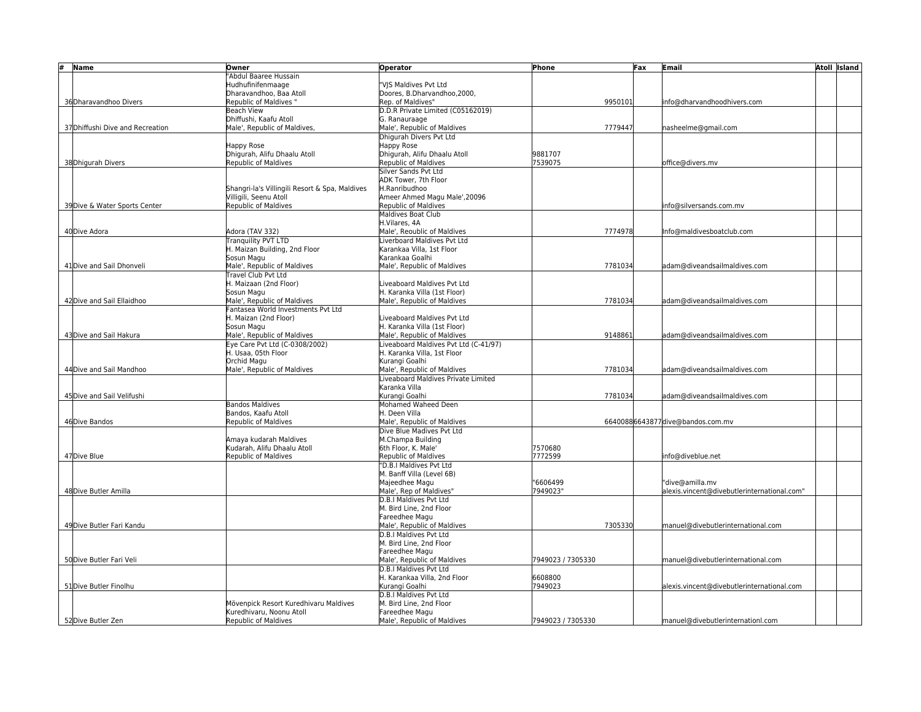| #<br><b>Name</b>                 | Owner                                          | <b>Operator</b>                                             | Phone             | Fax | Email                                       | <b>Atoll Island</b> |
|----------------------------------|------------------------------------------------|-------------------------------------------------------------|-------------------|-----|---------------------------------------------|---------------------|
|                                  | 'Abdul Baaree Hussain                          |                                                             |                   |     |                                             |                     |
|                                  | Hudhufinifenmaage                              | "VIS Maldives Pvt Ltd                                       |                   |     |                                             |                     |
|                                  | Dharavandhoo, Baa Atoll                        | Doores, B.Dharvandhoo, 2000,                                |                   |     |                                             |                     |
| 36 Dharavandhoo Divers           | Republic of Maldives "                         | Rep. of Maldives"                                           | 9950101           |     | info@dharvandhoodhivers.com                 |                     |
|                                  | Beach View                                     | D.D.R Private Limited (C05162019)                           |                   |     |                                             |                     |
|                                  | Dhiffushi, Kaafu Atoll                         | G. Ranauraage                                               |                   |     |                                             |                     |
| 37 Dhiffushi Dive and Recreation | Male', Republic of Maldives,                   | Male', Republic of Maldives                                 | 7779447           |     | nasheelme@gmail.com                         |                     |
|                                  |                                                | Dhigurah Divers Pvt Ltd                                     |                   |     |                                             |                     |
|                                  | Happy Rose                                     | Happy Rose                                                  |                   |     |                                             |                     |
|                                  | Dhigurah, Alifu Dhaalu Atoll                   | Dhigurah, Alifu Dhaalu Atoll                                | 9881707           |     |                                             |                     |
| 38 Dhigurah Divers               | Republic of Maldives                           | Republic of Maldives                                        | 7539075           |     | office@divers.mv                            |                     |
|                                  |                                                | Silver Sands Pvt Ltd                                        |                   |     |                                             |                     |
|                                  |                                                | ADK Tower. 7th Floor                                        |                   |     |                                             |                     |
|                                  | Shangri-la's Villingili Resort & Spa, Maldives | H.Ranribudhoo                                               |                   |     |                                             |                     |
|                                  | Villigili, Seenu Atoll                         | Ameer Ahmed Magu Male',20096                                |                   |     |                                             |                     |
| 39 Dive & Water Sports Center    | Republic of Maldives                           | Republic of Maldives                                        |                   |     | nfo@silversands.com.mv                      |                     |
|                                  |                                                | Maldives Boat Club                                          |                   |     |                                             |                     |
|                                  |                                                | H.Vilares. 4A                                               |                   |     |                                             |                     |
| 40 Dive Adora                    | Adora (TAV 332)                                | Male', Reoublic of Maldives                                 | 7774978           |     | Info@maldivesboatclub.com                   |                     |
|                                  | <b>Tranguility PVT LTD</b>                     | Liverboard Maldives Pvt Ltd                                 |                   |     |                                             |                     |
|                                  | H. Maizan Building, 2nd Floor                  | Karankaa Villa, 1st Floor                                   |                   |     |                                             |                     |
|                                  | Sosun Magu                                     | Karankaa Goalhi                                             |                   |     |                                             |                     |
| 41 Dive and Sail Dhonveli        | Male', Republic of Maldives                    | Male', Republic of Maldives                                 | 7781034           |     | adam@diveandsailmaldives.com                |                     |
|                                  | Travel Club Pvt Ltd                            |                                                             |                   |     |                                             |                     |
|                                  | H. Maizaan (2nd Floor)                         |                                                             |                   |     |                                             |                     |
|                                  | Sosun Magu                                     | Liveaboard Maldives Pvt Ltd<br>H. Karanka Villa (1st Floor) |                   |     |                                             |                     |
|                                  |                                                |                                                             | 7781034           |     |                                             |                     |
| 42 Dive and Sail Ellaidhoo       | Male', Republic of Maldives                    | Male', Republic of Maldives                                 |                   |     | adam@diveandsailmaldives.com                |                     |
|                                  | Fantasea World Investments Pvt Ltd             |                                                             |                   |     |                                             |                     |
|                                  | H. Maizan (2nd Floor)                          | Liveaboard Maldives Pvt Ltd                                 |                   |     |                                             |                     |
|                                  | Sosun Magu                                     | H. Karanka Villa (1st Floor)                                |                   |     |                                             |                     |
| 43 Dive and Sail Hakura          | Male', Republic of Maldives                    | Male', Republic of Maldives                                 | 9148861           |     | adam@diveandsailmaldives.com                |                     |
|                                  | Eye Care Pvt Ltd (C-0308/2002)                 | Liveaboard Maldives Pvt Ltd (C-41/97)                       |                   |     |                                             |                     |
|                                  | H. Usaa, 05th Floor                            | H. Karanka Villa, 1st Floor                                 |                   |     |                                             |                     |
|                                  | Orchid Magu                                    | Kurangi Goalhi                                              |                   |     |                                             |                     |
| 44 Dive and Sail Mandhoo         | Male', Republic of Maldives                    | Male', Republic of Maldives                                 | 7781034           |     | adam@diveandsailmaldives.com                |                     |
|                                  |                                                | Liveaboard Maldives Private Limited                         |                   |     |                                             |                     |
|                                  |                                                | Karanka Villa                                               |                   |     |                                             |                     |
| 45 Dive and Sail Velifushi       |                                                | Kurangi Goalhi                                              | 7781034           |     | adam@diveandsailmaldives.com                |                     |
|                                  | <b>Bandos Maldives</b>                         | Mohamed Waheed Deen                                         |                   |     |                                             |                     |
|                                  | Bandos, Kaafu Atoll                            | H. Deen Villa                                               |                   |     |                                             |                     |
| 46 Dive Bandos                   | Republic of Maldives                           | Male', Republic of Maldives                                 |                   |     | 66400886643877dive@bandos.com.mv            |                     |
|                                  |                                                | Dive Blue Madives Pvt Ltd                                   |                   |     |                                             |                     |
|                                  | Amaya kudarah Maldives                         | M.Champa Building                                           |                   |     |                                             |                     |
|                                  | Kudarah, Alifu Dhaalu Atoll                    | 6th Floor, K. Male'                                         | 7570680           |     |                                             |                     |
| 47 Dive Blue                     | Republic of Maldives                           | Republic of Maldives                                        | 7772599           |     | info@diveblue.net                           |                     |
|                                  |                                                | "D.B.I Maldives Pyt Ltd                                     |                   |     |                                             |                     |
|                                  |                                                | M. Banff Villa (Level 6B)                                   |                   |     |                                             |                     |
|                                  |                                                | Majeedhee Magu                                              | "6606499          |     | "dive@amilla.mv                             |                     |
| 48 Dive Butler Amilla            |                                                | Male', Rep of Maldives"                                     | 7949023"          |     | alexis.vincent@divebutlerinternational.com" |                     |
|                                  |                                                | D.B.I Maldives Pvt Ltd                                      |                   |     |                                             |                     |
|                                  |                                                | M. Bird Line, 2nd Floor                                     |                   |     |                                             |                     |
|                                  |                                                | Fareedhee Magu                                              |                   |     |                                             |                     |
| 49 Dive Butler Fari Kandu        |                                                | Male', Republic of Maldives                                 | 7305330           |     | manuel@divebutlerinternational.com          |                     |
|                                  |                                                | D.B.I Maldives Pyt Ltd                                      |                   |     |                                             |                     |
|                                  |                                                | M. Bird Line, 2nd Floor                                     |                   |     |                                             |                     |
|                                  |                                                | Fareedhee Magu                                              |                   |     |                                             |                     |
| 50 Dive Butler Fari Veli         |                                                | Male', Republic of Maldives                                 | 7949023 / 7305330 |     | manuel@divebutlerinternational.com          |                     |
|                                  |                                                | D.B.I Maldives Pvt Ltd                                      |                   |     |                                             |                     |
|                                  |                                                | H. Karankaa Villa, 2nd Floor                                | 6608800           |     |                                             |                     |
| 51 Dive Butler Finolhu           |                                                | Kurangi Goalhi                                              | 7949023           |     | alexis.vincent@divebutlerinternational.com  |                     |
|                                  |                                                | D.B.I Maldives Pvt Ltd                                      |                   |     |                                             |                     |
|                                  | Mövenpick Resort Kuredhivaru Maldives          | M. Bird Line, 2nd Floor                                     |                   |     |                                             |                     |
|                                  | Kuredhivaru. Noonu Atoll                       | Fareedhee Magu                                              |                   |     |                                             |                     |
| 52Dive Butler Zen                | Republic of Maldives                           | Male', Republic of Maldives                                 | 7949023 / 7305330 |     | manuel@divebutlerinternationl.com           |                     |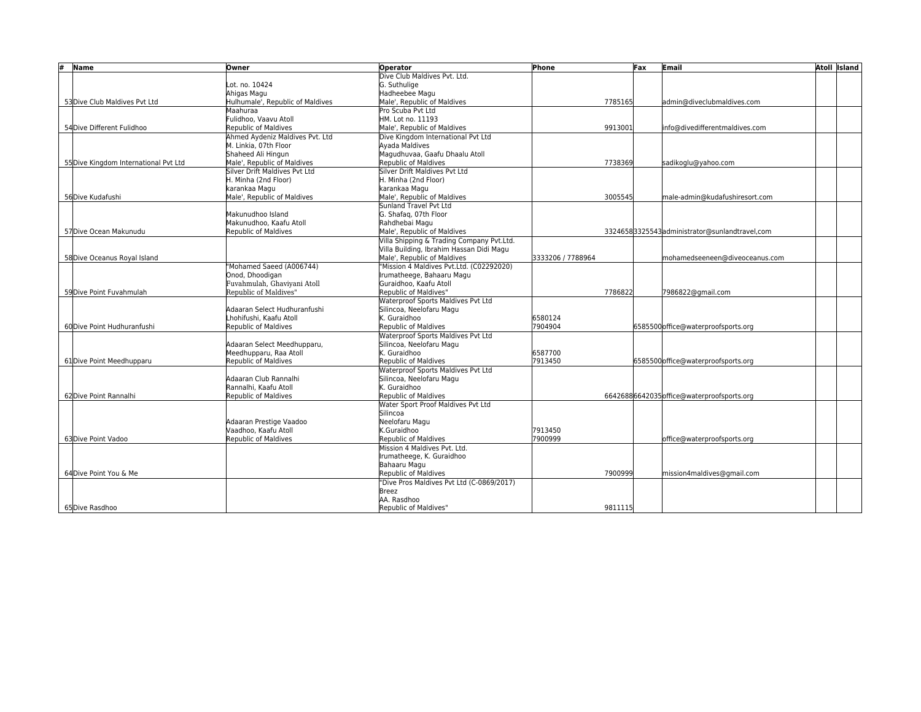| #<br><b>Name</b>                      | Owner                                                 | <b>Operator</b>                                                | Phone             | Fax     | Email                                         | <b>Atoll Island</b> |
|---------------------------------------|-------------------------------------------------------|----------------------------------------------------------------|-------------------|---------|-----------------------------------------------|---------------------|
|                                       |                                                       | Dive Club Maldives Pvt. Ltd.                                   |                   |         |                                               |                     |
|                                       | Lot. no. 10424                                        | G. Suthulige                                                   |                   |         |                                               |                     |
|                                       | Ahigas Magu                                           | Hadheebee Magu                                                 |                   |         |                                               |                     |
| 53Dive Club Maldives Pyt Ltd          | Hulhumale', Republic of Maldives                      | Male', Republic of Maldives                                    |                   | 7785165 | admin@diveclubmaldives.com                    |                     |
|                                       | Maahuraa                                              | Pro Scuba Pvt Ltd                                              |                   |         |                                               |                     |
|                                       | Fulidhoo, Vaavu Atoll                                 | HM. Lot no. 11193                                              |                   |         |                                               |                     |
| 54 Dive Different Fulidhoo            | Republic of Maldives                                  | Male', Republic of Maldives                                    |                   | 9913001 | info@divedifferentmaldives.com                |                     |
|                                       | Ahmed Aydeniz Maldives Pvt. Ltd                       | Dive Kingdom International Pvt Ltd                             |                   |         |                                               |                     |
|                                       | M. Linkia, 07th Floor                                 | Ayada Maldives                                                 |                   |         |                                               |                     |
|                                       | Shaheed Ali Hingun                                    | Magudhuvaa, Gaafu Dhaalu Atoll                                 |                   |         |                                               |                     |
| 55 Dive Kingdom International Pvt Ltd | Male', Republic of Maldives                           | Republic of Maldives                                           |                   | 7738369 | sadikoglu@yahoo.com                           |                     |
|                                       | Silver Drift Maldives Pvt Ltd                         | Silver Drift Maldives Pyt Ltd                                  |                   |         |                                               |                     |
|                                       | H. Minha (2nd Floor)                                  | H. Minha (2nd Floor)                                           |                   |         |                                               |                     |
|                                       | karankaa Magu                                         | karankaa Magu                                                  |                   |         |                                               |                     |
| 56Dive Kudafushi                      | Male', Republic of Maldives                           | Male', Republic of Maldives                                    |                   | 3005545 | male-admin@kudafushiresort.com                |                     |
|                                       |                                                       | Sunland Travel Pvt Ltd                                         |                   |         |                                               |                     |
|                                       | Makunudhoo Island                                     | G. Shafaq, 07th Floor                                          |                   |         |                                               |                     |
|                                       | Makunudhoo. Kaafu Atoll                               | Rahdhebai Magu                                                 |                   |         |                                               |                     |
| 57 Dive Ocean Makunudu                | Republic of Maldives                                  | Male', Republic of Maldives                                    |                   |         | 33246583325543administrator@sunlandtravel.com |                     |
|                                       |                                                       | Villa Shipping & Trading Company Pvt.Ltd.                      |                   |         |                                               |                     |
|                                       |                                                       | Villa Building, Ibrahim Hassan Didi Magu                       |                   |         |                                               |                     |
| 58 Dive Oceanus Royal Island          |                                                       | Male', Republic of Maldives                                    | 3333206 / 7788964 |         | mohamedseeneen@diveoceanus.com                |                     |
|                                       | "Mohamed Saeed (A006744)                              | "Mission 4 Maldives Pvt.Ltd. (C02292020)                       |                   |         |                                               |                     |
|                                       | Onod, Dhoodigan                                       | Irumatheege, Bahaaru Magu                                      |                   |         |                                               |                     |
|                                       | Fuvahmulah, Ghaviyani Atoll                           | Guraidhoo, Kaafu Atoll                                         |                   |         |                                               |                     |
| 59 Dive Point Fuvahmulah              | Republic of Maldives'                                 | Republic of Maldives"                                          |                   | 7786822 | 7986822@gmail.com                             |                     |
|                                       |                                                       | <b>Waterproof Sports Maldives Pvt Ltd</b>                      |                   |         |                                               |                     |
|                                       | Adaaran Select Hudhuranfushi                          | Silincoa, Neelofaru Magu<br>K. Guraidhoo                       |                   |         |                                               |                     |
|                                       | hohifushi, Kaafu Atoll                                |                                                                | 6580124           |         |                                               |                     |
| 60 Dive Point Hudhuranfushi           | Republic of Maldives                                  | Republic of Maldives                                           | 7904904           |         | 6585500 office@waterproofsports.org           |                     |
|                                       |                                                       | Waterproof Sports Maldives Pvt Ltd<br>Silincoa, Neelofaru Magu |                   |         |                                               |                     |
|                                       | Adaaran Select Meedhupparu,<br>Meedhupparu, Raa Atoll | K. Guraidhoo                                                   | 6587700           |         |                                               |                     |
| 61 Dive Point Meedhupparu             | Republic of Maldives                                  | Republic of Maldives                                           | 7913450           |         | 6585500 office@waterproofsports.org           |                     |
|                                       |                                                       | Waterproof Sports Maldives Pvt Ltd                             |                   |         |                                               |                     |
|                                       | Adaaran Club Rannalhi                                 | Silincoa, Neelofaru Magu                                       |                   |         |                                               |                     |
|                                       | Rannalhi, Kaafu Atoll                                 | K. Guraidhoo                                                   |                   |         |                                               |                     |
| 62Dive Point Rannalhi                 | <b>Republic of Maldives</b>                           | Republic of Maldives                                           |                   |         | 66426886642035 office@waterproofsports.org    |                     |
|                                       |                                                       | Water Sport Proof Maldives Pvt Ltd                             |                   |         |                                               |                     |
|                                       |                                                       | Silincoa                                                       |                   |         |                                               |                     |
|                                       | Adaaran Prestige Vaadoo                               | Neelofaru Magu                                                 |                   |         |                                               |                     |
|                                       | Vaadhoo, Kaafu Atoll                                  | K.Guraidhoo                                                    | 7913450           |         |                                               |                     |
| 63 Dive Point Vadoo                   | Republic of Maldives                                  | Republic of Maldives                                           | 7900999           |         | office@waterproofsports.org                   |                     |
|                                       |                                                       | Mission 4 Maldives Pvt. Ltd.                                   |                   |         |                                               |                     |
|                                       |                                                       | Irumatheege, K. Guraidhoo                                      |                   |         |                                               |                     |
|                                       |                                                       | Bahaaru Magu                                                   |                   |         |                                               |                     |
| 64Dive Point You & Me                 |                                                       | Republic of Maldives                                           |                   | 7900999 | mission4maldives@gmail.com                    |                     |
|                                       |                                                       | "Dive Pros Maldives Pvt Ltd (C-0869/2017)                      |                   |         |                                               |                     |
|                                       |                                                       | <b>Breez</b>                                                   |                   |         |                                               |                     |
|                                       |                                                       | AA. Rasdhoo                                                    |                   |         |                                               |                     |
| 65Dive Rasdhoo                        |                                                       | Republic of Maldives"                                          |                   | 9811115 |                                               |                     |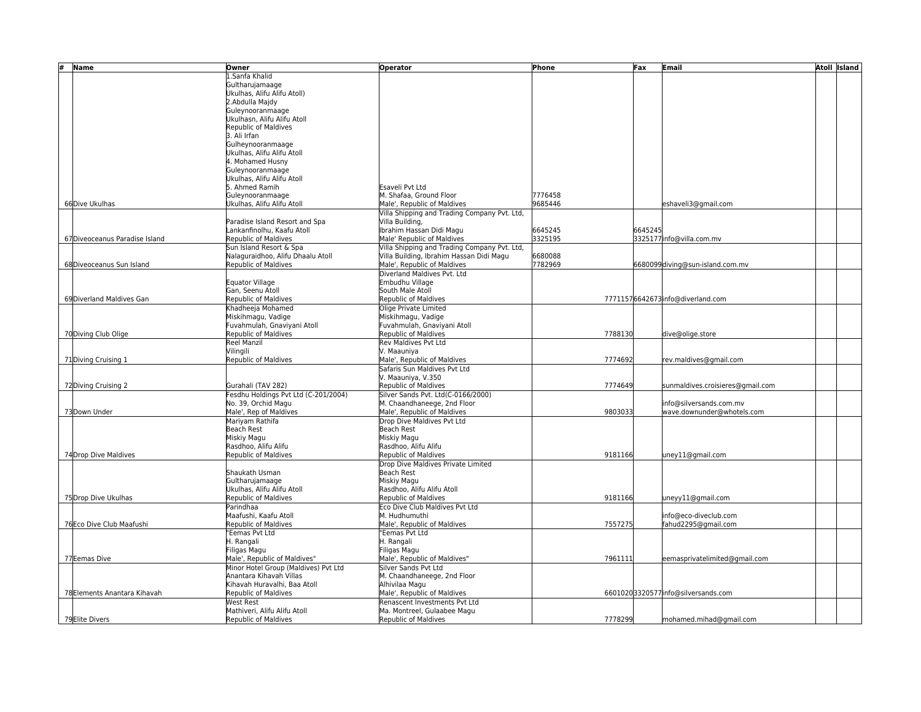| # | Name                           | Owner                                         | <b>Operator</b>                                     | Phone   | Fax     | Email                              | <b>Atoll Island</b> |
|---|--------------------------------|-----------------------------------------------|-----------------------------------------------------|---------|---------|------------------------------------|---------------------|
|   |                                | 1. Sanfa Khalid                               |                                                     |         |         |                                    |                     |
|   |                                | Gultharujamaage                               |                                                     |         |         |                                    |                     |
|   |                                | Ukulhas, Alifu Alifu Atoll)                   |                                                     |         |         |                                    |                     |
|   |                                | 2.Abdulla Majdy                               |                                                     |         |         |                                    |                     |
|   |                                | Guleynooranmaage                              |                                                     |         |         |                                    |                     |
|   |                                | Ukulhasn, Alifu Alifu Atoll                   |                                                     |         |         |                                    |                     |
|   |                                | Republic of Maldives                          |                                                     |         |         |                                    |                     |
|   |                                | 3. Ali Irfan                                  |                                                     |         |         |                                    |                     |
|   |                                | Gulheynooranmaage                             |                                                     |         |         |                                    |                     |
|   |                                | Ukulhas. Alifu Alifu Atoll                    |                                                     |         |         |                                    |                     |
|   |                                | 4. Mohamed Husny                              |                                                     |         |         |                                    |                     |
|   |                                | Guleynooranmaage                              |                                                     |         |         |                                    |                     |
|   |                                | Ukulhas, Alifu Alifu Atoll                    |                                                     |         |         |                                    |                     |
|   |                                | 5. Ahmed Ramih                                | Esaveli Pvt Ltd                                     |         |         |                                    |                     |
|   |                                | Guleynooranmaage                              | M. Shafaa. Ground Floor                             | 7776458 |         |                                    |                     |
|   | 66 Dive Ukulhas                | Ukulhas, Alifu Alifu Atoll                    | Male', Republic of Maldives                         | 9685446 |         | eshaveli3@gmail.com                |                     |
|   |                                |                                               | Villa Shipping and Trading Company Pvt. Ltd,        |         |         |                                    |                     |
|   |                                | Paradise Island Resort and Spa                | Villa Building,                                     |         |         |                                    |                     |
|   |                                | Lankanfinolhu. Kaafu Atoll                    | Ibrahim Hassan Didi Magu                            | 6645245 | 6645245 |                                    |                     |
|   | 67 Diveoceanus Paradise Island | Republic of Maldives                          | Male' Republic of Maldives                          | 3325195 |         | 3325177 info@villa.com.mv          |                     |
|   |                                | Sun Island Resort & Spa                       | Villa Shipping and Trading Company Pvt. Ltd,        |         |         |                                    |                     |
|   |                                | Nalaguraidhoo, Alifu Dhaalu Atoll             | Villa Building, Ibrahim Hassan Didi Magu            | 6680088 |         |                                    |                     |
|   | 68 Diveoceanus Sun Island      | Republic of Maldives                          | Male', Republic of Maldives                         | 7782969 |         | 6680099diving@sun-island.com.mv    |                     |
|   |                                |                                               | Diverland Maldives Pyt. Ltd                         |         |         |                                    |                     |
|   |                                | Equator Village                               | Embudhu Village                                     |         |         |                                    |                     |
|   |                                | Gan, Seenu Atoll                              | South Male Atoll                                    |         |         |                                    |                     |
|   | 69 Diverland Maldives Gan      | Republic of Maldives                          | Republic of Maldives                                |         |         | 77711576642673info@diverland.com   |                     |
|   |                                | Khadheeja Mohamed                             | Olige Private Limited                               |         |         |                                    |                     |
|   |                                | Miskihmagu, Vadige                            | Miskihmagu, Vadige                                  |         |         |                                    |                     |
|   |                                | Fuvahmulah, Gnaviyani Atoll                   | Fuvahmulah, Gnaviyani Atoll                         |         |         |                                    |                     |
|   | 70 Diving Club Olige           | Republic of Maldives                          | Republic of Maldives                                | 7788130 |         | dive@olige.store                   |                     |
|   |                                | <b>Reel Manzil</b>                            | <b>Rev Maldives Pvt Ltd</b>                         |         |         |                                    |                     |
|   |                                | Vilingili                                     | V. Maauniya                                         |         |         |                                    |                     |
|   | 71 Diving Cruising 1           | Republic of Maldives                          | Male', Republic of Maldives                         | 7774692 |         | rev.maldives@gmail.com             |                     |
|   |                                |                                               | Safaris Sun Maldives Pvt Ltd                        |         |         |                                    |                     |
|   |                                |                                               | V. Maauniya, V.350                                  |         |         |                                    |                     |
|   | 72 Diving Cruising 2           | Gurahali (TAV 282)                            | Republic of Maldives                                | 7774649 |         | sunmaldives.croisieres@gmail.com   |                     |
|   |                                | Fesdhu Holdings Pvt Ltd (C-201/2004)          | Silver Sands Pvt. Ltd(C-0166/2000)                  |         |         |                                    |                     |
|   |                                | No. 39, Orchid Magu                           | M. Chaandhaneege, 2nd Floor                         |         |         | info@silversands.com.mv            |                     |
|   | 73 Down Under                  | Male', Rep of Maldives                        | Male', Republic of Maldives                         | 9803033 |         | wave.downunder@whotels.com         |                     |
|   |                                | Mariyam Rathifa                               | Drop Dive Maldives Pvt Ltd                          |         |         |                                    |                     |
|   |                                | <b>Beach Rest</b>                             | Beach Rest                                          |         |         |                                    |                     |
|   |                                | Miskiy Magu                                   | Miskiy Magu                                         |         |         |                                    |                     |
|   |                                | Rasdhoo, Alifu Alifu                          | Rasdhoo, Alifu Alifu                                |         |         |                                    |                     |
|   | 74 Drop Dive Maldives          | Republic of Maldives                          | Republic of Maldives                                | 9181166 |         | uney11@gmail.com                   |                     |
|   |                                |                                               | Drop Dive Maldives Private Limited                  |         |         |                                    |                     |
|   |                                | Shaukath Usman                                | <b>Beach Rest</b>                                   |         |         |                                    |                     |
|   |                                | Gultharujamaage                               | Miskiy Magu                                         |         |         |                                    |                     |
|   |                                | Ukulhas, Alifu Alifu Atoll                    | Rasdhoo, Alifu Alifu Atoll                          |         |         |                                    |                     |
|   | 75 Drop Dive Ukulhas           | Republic of Maldives                          | Republic of Maldives                                | 9181166 |         | uneyy11@gmail.com                  |                     |
|   |                                | Parindhaa                                     | Eco Dive Club Maldives Pvt Ltd                      |         |         |                                    |                     |
|   | 76 Eco Dive Club Maafushi      | Maafushi, Kaafu Atoll<br>Republic of Maldives | M. Hudhumuthi                                       | 7557275 |         | info@eco-diveclub.com              |                     |
|   |                                |                                               | Male', Republic of Maldives                         |         |         | fahud2295@gmail.com                |                     |
|   |                                | "Eemas Pvt Ltd<br>H. Rangali                  | "Eemas Pvt Ltd<br>H. Rangali                        |         |         |                                    |                     |
|   |                                | Filigas Magu                                  | Filigas Magu                                        |         |         |                                    |                     |
|   | 77 Eemas Dive                  | Male', Republic of Maldives"                  | Male', Republic of Maldives"                        | 7961111 |         | eemasprivatelimited@gmail.com      |                     |
|   |                                | Minor Hotel Group (Maldives) Pvt Ltd          | Silver Sands Pvt Ltd                                |         |         |                                    |                     |
|   |                                | Anantara Kihavah Villas                       | M. Chaandhaneege, 2nd Floor                         |         |         |                                    |                     |
|   |                                | Kihavah Huravalhi, Baa Atoll                  | Alhivilaa Magu                                      |         |         |                                    |                     |
|   |                                | Republic of Maldives                          | Male', Republic of Maldives                         |         |         | 66010203320577info@silversands.com |                     |
|   | 78 Elements Anantara Kihavah   | West Rest                                     | Renascent Investments Pvt Ltd                       |         |         |                                    |                     |
|   |                                | Mathiveri, Alifu Alifu Atoll                  |                                                     |         |         |                                    |                     |
|   | 79 Elite Divers                | Republic of Maldives                          | Ma. Montreel, Gulaabee Magu<br>Republic of Maldives | 7778299 |         | mohamed.mihad@gmail.com            |                     |
|   |                                |                                               |                                                     |         |         |                                    |                     |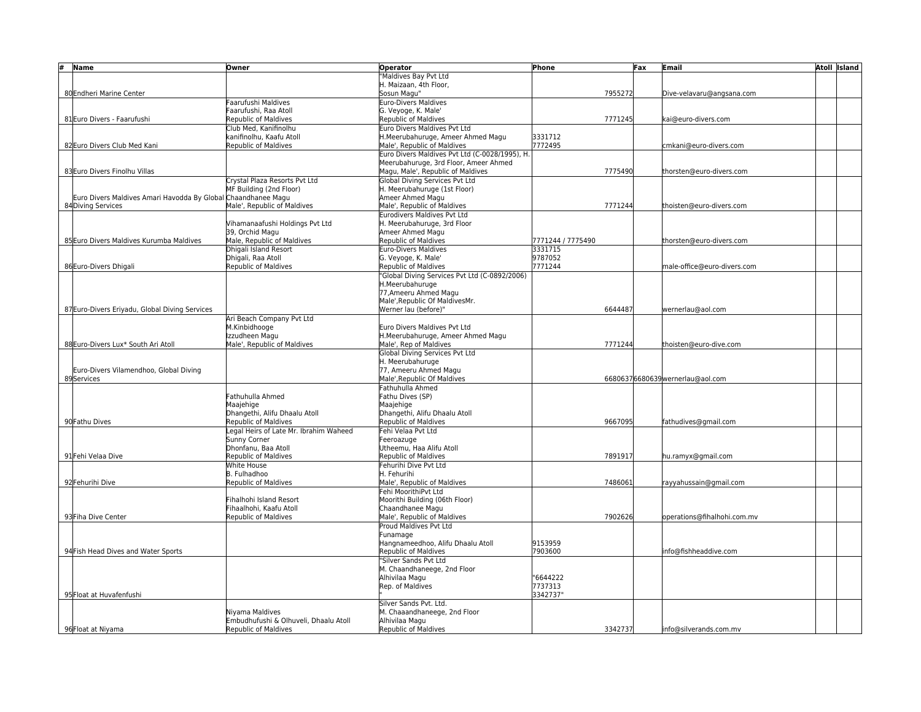| #<br>Name                                                     | Owner                                                | <b>Operator</b>                                             | Phone                        | Fax     | Email                            | Atoll Island |
|---------------------------------------------------------------|------------------------------------------------------|-------------------------------------------------------------|------------------------------|---------|----------------------------------|--------------|
|                                                               |                                                      | 'Maldives Bay Pvt Ltd                                       |                              |         |                                  |              |
|                                                               |                                                      | H. Maizaan, 4th Floor,                                      |                              |         |                                  |              |
| 80 Endheri Marine Center                                      |                                                      | Sosun Magu"                                                 |                              | 7955272 | Dive-velavaru@angsana.com        |              |
|                                                               | Faarufushi Maldives                                  | <b>Euro-Divers Maldives</b>                                 |                              |         |                                  |              |
|                                                               | Faarufushi, Raa Atoll                                | G. Veyoge, K. Male'                                         |                              |         |                                  |              |
| 81 Euro Divers - Faarufushi                                   | <b>Republic of Maldives</b><br>Club Med. Kanifinolhu | <b>Republic of Maldives</b><br>Euro Divers Maldives Pyt Ltd |                              | 7771245 | kai@euro-divers.com              |              |
|                                                               | kanifinolhu, Kaafu Atoll                             | H.Meerubahuruge, Ameer Ahmed Magu                           | 3331712                      |         |                                  |              |
| 82 Euro Divers Club Med Kani                                  | Republic of Maldives                                 | Male'. Republic of Maldives                                 | 7772495                      |         | cmkani@euro-divers.com           |              |
|                                                               |                                                      | Euro Divers Maldives Pvt Ltd (C-0028/1995), H.              |                              |         |                                  |              |
|                                                               |                                                      | Meerubahuruge, 3rd Floor, Ameer Ahmed                       |                              |         |                                  |              |
| 83 Euro Divers Finolhu Villas                                 |                                                      | Magu, Male', Republic of Maldives                           |                              | 7775490 | thorsten@euro-divers.com         |              |
|                                                               | Crystal Plaza Resorts Pvt Ltd                        | Global Diving Services Pvt Ltd                              |                              |         |                                  |              |
|                                                               | MF Building (2nd Floor)                              | H. Meerubahuruge (1st Floor)                                |                              |         |                                  |              |
| Euro Divers Maldives Amari Havodda By Global Chaandhanee Magu |                                                      | Ameer Ahmed Magu                                            |                              |         |                                  |              |
| 84 Diving Services                                            | Male', Republic of Maldives                          | Male', Republic of Maldives                                 |                              | 7771244 | thoisten@euro-divers.com         |              |
|                                                               |                                                      | Eurodivers Maldives Pyt Ltd                                 |                              |         |                                  |              |
|                                                               | Vihamanaafushi Holdings Pvt Ltd                      | H. Meerubahuruge, 3rd Floor                                 |                              |         |                                  |              |
|                                                               | 39, Orchid Magu                                      | Ameer Ahmed Magu                                            |                              |         |                                  |              |
| 85 Euro Divers Maldives Kurumba Maldives                      | Male, Republic of Maldives<br>Dhigali Island Resort  | Republic of Maldives<br>Euro-Divers Maldives                | 7771244 / 7775490<br>3331715 |         | thorsten@euro-divers.com         |              |
|                                                               | Dhigali, Raa Atoll                                   | G. Veyoge, K. Male'                                         | 9787052                      |         |                                  |              |
| 86Euro-Divers Dhigali                                         | Republic of Maldives                                 | Republic of Maldives                                        | 7771244                      |         | male-office@euro-divers.com      |              |
|                                                               |                                                      | 'Global Diving Services Pvt Ltd (C-0892/2006)               |                              |         |                                  |              |
|                                                               |                                                      | H.Meerubahuruge                                             |                              |         |                                  |              |
|                                                               |                                                      | 77, Ameeru Ahmed Magu                                       |                              |         |                                  |              |
|                                                               |                                                      | Male', Republic Of MaldivesMr.                              |                              |         |                                  |              |
| 87 Euro-Divers Eriyadu, Global Diving Services                |                                                      | Werner lau (before)"                                        |                              | 6644487 | wernerlau@aol.com                |              |
|                                                               | Ari Beach Company Pvt Ltd                            |                                                             |                              |         |                                  |              |
|                                                               | M.Kinbidhooge                                        | Euro Divers Maldives Pyt Ltd                                |                              |         |                                  |              |
|                                                               | Izzudheen Magu                                       | H.Meerubahuruge, Ameer Ahmed Magu                           |                              |         |                                  |              |
| 88 Euro-Divers Lux* South Ari Atoll                           | Male', Republic of Maldives                          | Male', Rep of Maldives                                      |                              | 7771244 | thoisten@euro-dive.com           |              |
|                                                               |                                                      | Global Diving Services Pvt Ltd                              |                              |         |                                  |              |
|                                                               |                                                      | H. Meerubahuruge                                            |                              |         |                                  |              |
| Euro-Divers Vilamendhoo, Global Diving<br>89Services          |                                                      | 77, Ameeru Ahmed Magu<br>Male', Republic Of Maldives        |                              |         | 66806376680639 wernerlau@aol.com |              |
|                                                               |                                                      | Fathuhulla Ahmed                                            |                              |         |                                  |              |
|                                                               | Fathuhulla Ahmed                                     | Fathu Dives (SP)                                            |                              |         |                                  |              |
|                                                               | Maajehige                                            | Maajehige                                                   |                              |         |                                  |              |
|                                                               | Dhangethi, Alifu Dhaalu Atoll                        | Dhangethi, Alifu Dhaalu Atoll                               |                              |         |                                  |              |
| 90 Fathu Dives                                                | Republic of Maldives                                 | Republic of Maldives                                        |                              | 9667095 | fathudives@gmail.com             |              |
|                                                               | Legal Heirs of Late Mr. Ibrahim Waheed               | Fehi Velaa Pvt Ltd                                          |                              |         |                                  |              |
|                                                               | Sunny Corner                                         | Feeroazuge                                                  |                              |         |                                  |              |
|                                                               | Dhonfanu, Baa Atoll                                  | Utheemu, Haa Alifu Atoll                                    |                              |         |                                  |              |
| 91Fehi Velaa Dive                                             | Republic of Maldives                                 | Republic of Maldives                                        |                              | 7891917 | hu.ramyx@gmail.com               |              |
|                                                               | White House                                          | Fehurihi Dive Pyt Ltd                                       |                              |         |                                  |              |
|                                                               | B. Fulhadhoo                                         | H. Fehurihi                                                 |                              |         |                                  |              |
| 92 Fehurihi Dive                                              | <b>Republic of Maldives</b>                          | Male', Republic of Maldives<br>Fehi MoorithiPvt Ltd         |                              | 7486061 | rayyahussain@gmail.com           |              |
|                                                               | Fihalhohi Island Resort                              | Moorithi Building (06th Floor)                              |                              |         |                                  |              |
|                                                               | Fihaalhohi, Kaafu Atoll                              | Chaandhanee Magu                                            |                              |         |                                  |              |
| 93 Fiha Dive Center                                           | Republic of Maldives                                 | Male', Republic of Maldives                                 |                              | 7902626 | operations@fihalhohi.com.mv      |              |
|                                                               |                                                      | Proud Maldives Pvt Ltd                                      |                              |         |                                  |              |
|                                                               |                                                      | Funamage                                                    |                              |         |                                  |              |
|                                                               |                                                      | Hangnameedhoo, Alifu Dhaalu Atoll                           | 9153959                      |         |                                  |              |
| 94 Fish Head Dives and Water Sports                           |                                                      | <b>Republic of Maldives</b>                                 | 7903600                      |         | info@fishheaddive.com            |              |
|                                                               |                                                      | "Silver Sands Pvt Ltd                                       |                              |         |                                  |              |
|                                                               |                                                      | M. Chaandhaneege, 2nd Floor                                 |                              |         |                                  |              |
|                                                               |                                                      | Alhivilaa Magu                                              | '6644222                     |         |                                  |              |
|                                                               |                                                      | Rep. of Maldives                                            | 7737313                      |         |                                  |              |
| 95 Float at Huvafenfushi                                      |                                                      |                                                             | 3342737"                     |         |                                  |              |
|                                                               | Niyama Maldives                                      | Silver Sands Pvt. Ltd.<br>M. Chaaandhaneege, 2nd Floor      |                              |         |                                  |              |
|                                                               | Embudhufushi & Olhuveli, Dhaalu Atoll                | Alhivilaa Magu                                              |                              |         |                                  |              |
| 96 Float at Niyama                                            | Republic of Maldives                                 | Republic of Maldives                                        |                              | 3342737 | info@silverands.com.mv           |              |
|                                                               |                                                      |                                                             |                              |         |                                  |              |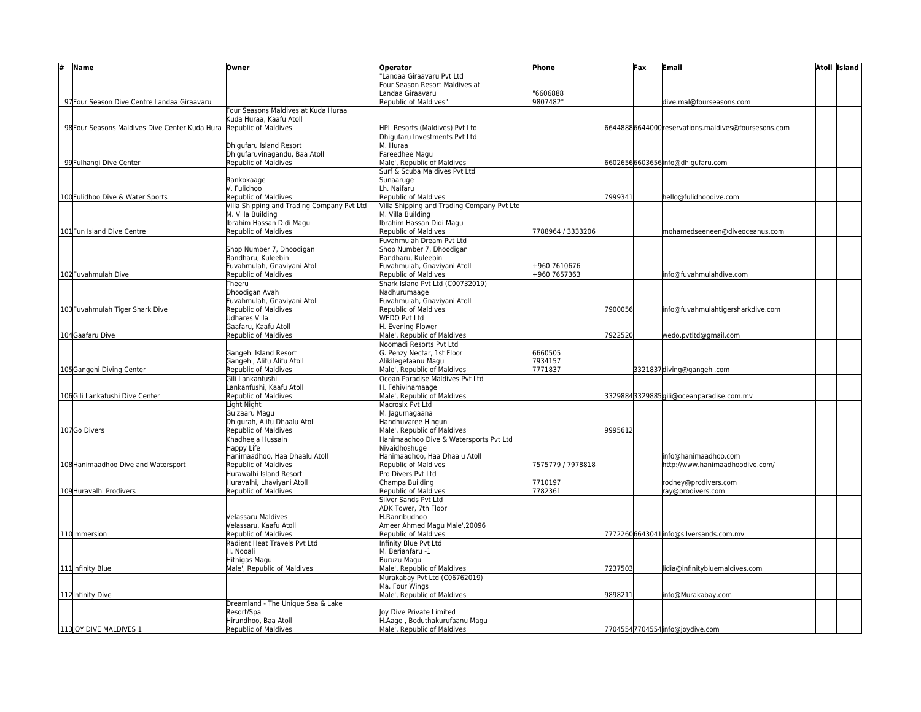| #<br>Name                                                           | Owner                                      | <b>Operator</b>                                 | Phone             | Fax     | <b>Email</b>                                        | Atoll Island |
|---------------------------------------------------------------------|--------------------------------------------|-------------------------------------------------|-------------------|---------|-----------------------------------------------------|--------------|
|                                                                     |                                            | 'Landaa Giraavaru Pvt Ltd                       |                   |         |                                                     |              |
|                                                                     |                                            | Four Season Resort Maldives at                  |                   |         |                                                     |              |
|                                                                     |                                            | Landaa Giraavaru                                | "6606888          |         |                                                     |              |
| 97 Four Season Dive Centre Landaa Giraavaru                         |                                            | Republic of Maldives"                           | 9807482"          |         | dive.mal@fourseasons.com                            |              |
|                                                                     | Four Seasons Maldives at Kuda Huraa        |                                                 |                   |         |                                                     |              |
|                                                                     | Kuda Huraa, Kaafu Atoll                    |                                                 |                   |         |                                                     |              |
| 98 Four Seasons Maldives Dive Center Kuda Hura Republic of Maldives |                                            | HPL Resorts (Maldives) Pvt Ltd                  |                   |         | 66448886644000 reservations.maldives@foursesons.com |              |
|                                                                     |                                            | Dhiqufaru Investments Pvt Ltd                   |                   |         |                                                     |              |
|                                                                     | Dhigufaru Island Resort                    | M. Huraa                                        |                   |         |                                                     |              |
|                                                                     | Dhigufaruvinagandu, Baa Atoll              | Fareedhee Magu                                  |                   |         |                                                     |              |
| 99 Fulhangi Dive Center                                             | Republic of Maldives                       | Male', Republic of Maldives                     |                   |         | 66026566603656info@dhigufaru.com                    |              |
|                                                                     |                                            | Surf & Scuba Maldives Pvt Ltd                   |                   |         |                                                     |              |
|                                                                     | Rankokaage                                 | Sunaaruge                                       |                   |         |                                                     |              |
|                                                                     | V. Fulidhoo                                | Lh. Naifaru                                     |                   |         |                                                     |              |
| 100 Fulidhoo Dive & Water Sports                                    | Republic of Maldives                       | Republic of Maldives                            |                   | 7999341 | hello@fulidhoodive.com                              |              |
|                                                                     | Villa Shipping and Trading Company Pvt Ltd | Villa Shipping and Trading Company Pvt Ltd      |                   |         |                                                     |              |
|                                                                     | M. Villa Building                          | M. Villa Building                               |                   |         |                                                     |              |
|                                                                     | Ibrahim Hassan Didi Magu                   | Ibrahim Hassan Didi Magu                        |                   |         |                                                     |              |
| 101 Fun Island Dive Centre                                          | Republic of Maldives                       | Republic of Maldives                            | 7788964 / 3333206 |         | mohamedseeneen@diveoceanus.com                      |              |
|                                                                     |                                            | Fuvahmulah Dream Pvt Ltd                        |                   |         |                                                     |              |
|                                                                     | Shop Number 7, Dhoodigan                   | Shop Number 7, Dhoodigan                        |                   |         |                                                     |              |
|                                                                     | Bandharu, Kuleebin                         | Bandharu, Kuleebin                              |                   |         |                                                     |              |
|                                                                     | Fuvahmulah, Gnaviyani Atoll                | Fuvahmulah, Gnaviyani Atoll                     | +960 7610676      |         |                                                     |              |
| 102 Fuvahmulah Dive                                                 | Republic of Maldives                       | Republic of Maldives                            | +960 7657363      |         | info@fuvahmulahdive.com                             |              |
|                                                                     | Theeru                                     | Shark Island Pvt Ltd (C00732019)                |                   |         |                                                     |              |
|                                                                     | Dhoodigan Avah                             | Nadhurumaage                                    |                   |         |                                                     |              |
|                                                                     | Fuvahmulah, Gnaviyani Atoll                | Fuvahmulah, Gnaviyani Atoll                     |                   |         |                                                     |              |
| 103 Fuvahmulah Tiger Shark Dive                                     | Republic of Maldives                       | Republic of Maldives                            |                   | 7900056 | info@fuvahmulahtigersharkdive.com                   |              |
|                                                                     | Udhares Villa                              | <b>WEDO Pvt Ltd</b>                             |                   |         |                                                     |              |
|                                                                     | Gaafaru. Kaafu Atoll                       | H. Evening Flower                               |                   |         |                                                     |              |
| 104 Gaafaru Dive                                                    | Republic of Maldives                       | Male', Republic of Maldives                     |                   | 7922520 | wedo.pvtltd@gmail.com                               |              |
|                                                                     |                                            | Noomadi Resorts Pyt Ltd                         |                   |         |                                                     |              |
|                                                                     | Gangehi Island Resort                      | G. Penzy Nectar, 1st Floor                      | 6660505           |         |                                                     |              |
|                                                                     | Gangehi, Alifu Alifu Atoll                 | Alikilegefaanu Magu                             | 7934157           |         |                                                     |              |
| 105Gangehi Diving Center                                            | Republic of Maldives                       | Male', Republic of Maldives                     | 7771837           |         | 3321837 diving@gangehi.com                          |              |
|                                                                     | Gili Lankanfushi                           | Ocean Paradise Maldives Pvt Ltd                 |                   |         |                                                     |              |
|                                                                     | ankanfushi, Kaafu Atoll                    | H. Fehivinamaage                                |                   |         |                                                     |              |
| 106Gili Lankafushi Dive Center                                      | Republic of Maldives<br>ight Night         | Male', Republic of Maldives<br>Macrosix Pyt Ltd |                   |         | 33298843329885gili@oceanparadise.com.mv             |              |
|                                                                     | Gulzaaru Magu                              | M. Jagumagaana                                  |                   |         |                                                     |              |
|                                                                     | Dhigurah, Alifu Dhaalu Atoll               | Handhuvaree Hingun                              |                   |         |                                                     |              |
| 107Go Divers                                                        | Republic of Maldives                       | Male', Republic of Maldives                     |                   | 9995612 |                                                     |              |
|                                                                     | Khadheeja Hussain                          | Hanimaadhoo Dive & Watersports Pvt Ltd          |                   |         |                                                     |              |
|                                                                     | Happy Life                                 | Nivaidhoshuge                                   |                   |         |                                                     |              |
|                                                                     | Hanimaadhoo, Haa Dhaalu Atoll              | Hanimaadhoo, Haa Dhaalu Atoll                   |                   |         | info@hanimaadhoo.com                                |              |
| 108 Hanimaadhoo Dive and Watersport                                 | Republic of Maldives                       | Republic of Maldives                            | 7575779 / 7978818 |         | http://www.hanimaadhoodive.com/                     |              |
|                                                                     | Hurawalhi Island Resort                    | Pro Divers Pvt Ltd                              |                   |         |                                                     |              |
|                                                                     | Huravalhi, Lhaviyani Atoll                 | Champa Building                                 | 7710197           |         | rodney@prodivers.com                                |              |
| 109 Huravalhi Prodivers                                             | Republic of Maldives                       | Republic of Maldives                            | 7782361           |         | ray@prodivers.com                                   |              |
|                                                                     |                                            | Silver Sands Pyt Ltd                            |                   |         |                                                     |              |
|                                                                     |                                            | ADK Tower. 7th Floor                            |                   |         |                                                     |              |
|                                                                     | Velassaru Maldives                         | H.Ranribudhoo                                   |                   |         |                                                     |              |
|                                                                     | Velassaru, Kaafu Atoll                     | Ameer Ahmed Magu Male', 20096                   |                   |         |                                                     |              |
| 110 Immersion                                                       | Republic of Maldives                       | Republic of Maldives                            |                   |         | 77722606643041info@silversands.com.mv               |              |
|                                                                     | Radient Heat Travels Pyt Ltd               | Infinity Blue Pvt Ltd                           |                   |         |                                                     |              |
|                                                                     | H. Nooali                                  | M. Berianfaru -1                                |                   |         |                                                     |              |
|                                                                     | Hithigas Magu                              | Buruzu Magu                                     |                   |         |                                                     |              |
| 111 Infinity Blue                                                   | Male', Republic of Maldives                | Male', Republic of Maldives                     |                   | 7237503 | lidia@infinitybluemaldives.com                      |              |
|                                                                     |                                            | Murakabay Pvt Ltd (C06762019)                   |                   |         |                                                     |              |
|                                                                     |                                            | Ma. Four Wings                                  |                   |         |                                                     |              |
| 112 Infinity Dive                                                   |                                            | Male', Republic of Maldives                     |                   | 9898211 | info@Murakabay.com                                  |              |
|                                                                     | Dreamland - The Unique Sea & Lake          |                                                 |                   |         |                                                     |              |
|                                                                     | Resort/Spa                                 | loy Dive Private Limited                        |                   |         |                                                     |              |
|                                                                     | Hirundhoo. Baa Atoll                       | H.Aage . Boduthakurufaanu Magu                  |                   |         |                                                     |              |
| 113OY DIVE MALDIVES 1                                               | Republic of Maldives                       | Male', Republic of Maldives                     |                   |         | 77045547704554info@joydive.com                      |              |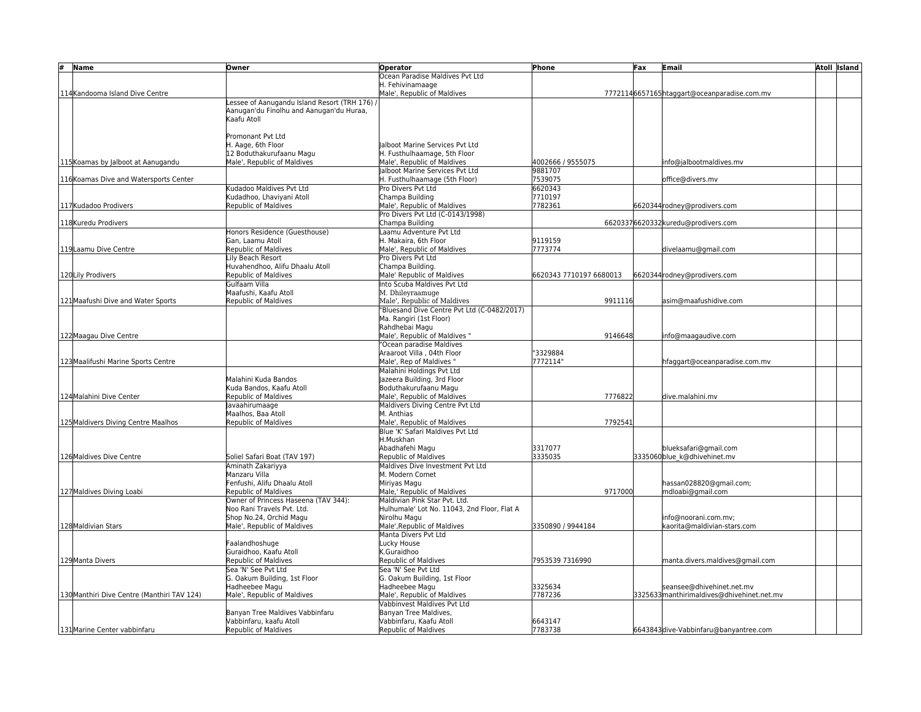| # | Name                                        | Owner                                                                                     | Operator                                                                   | Phone                   | Fax | Email                                                                      | <b>Atoll Island</b> |
|---|---------------------------------------------|-------------------------------------------------------------------------------------------|----------------------------------------------------------------------------|-------------------------|-----|----------------------------------------------------------------------------|---------------------|
|   |                                             |                                                                                           | Ocean Paradise Maldives Pvt Ltd                                            |                         |     |                                                                            |                     |
|   |                                             |                                                                                           | H. Fehivinamaage                                                           |                         |     |                                                                            |                     |
|   | 114 Kandooma Island Dive Centre             |                                                                                           | Male', Republic of Maldives                                                |                         |     | 77721146657165htaggart@oceanparadise.com.mv                                |                     |
|   |                                             | Lessee of Aanugandu Island Resort (TRH 176) /<br>Aanugan'du Finolhu and Aanugan'du Huraa, |                                                                            |                         |     |                                                                            |                     |
|   |                                             | Kaafu Atoll                                                                               |                                                                            |                         |     |                                                                            |                     |
|   |                                             |                                                                                           |                                                                            |                         |     |                                                                            |                     |
|   |                                             | Promonant Pvt Ltd                                                                         |                                                                            |                         |     |                                                                            |                     |
|   |                                             | H. Aage, 6th Floor                                                                        | alboot Marine Services Pvt Ltd                                             |                         |     |                                                                            |                     |
|   |                                             | 12 Boduthakurufaanu Magu                                                                  | H. Fusthulhaamage, 5th Floor                                               |                         |     |                                                                            |                     |
|   | 115 Koamas by Jalboot at Aanugandu          | Male', Republic of Maldives                                                               | Male', Republic of Maldives                                                | 4002666 / 9555075       |     | nfo@jalbootmaldives.mv                                                     |                     |
|   |                                             |                                                                                           | lalboot Marine Services Pyt Ltd                                            | 9881707                 |     |                                                                            |                     |
|   | 116 Koamas Dive and Watersports Center      |                                                                                           | H. Fusthulhaamage (5th Floor)                                              | 7539075                 |     | office@divers.mv                                                           |                     |
|   |                                             | Kudadoo Maldives Pvt Ltd                                                                  | Pro Divers Pvt Ltd                                                         | 6620343<br>7710197      |     |                                                                            |                     |
|   | 117 Kudadoo Prodivers                       | Kudadhoo, Lhaviyani Atoll<br>Republic of Maldives                                         | Champa Building<br>Male', Republic of Maldives                             | 7782361                 |     | 6620344rodney@prodivers.com                                                |                     |
|   |                                             |                                                                                           | Pro Divers Pvt Ltd (C-0143/1998)                                           |                         |     |                                                                            |                     |
|   | 118 Kuredu Prodivers                        |                                                                                           | Champa Building                                                            |                         |     | 66203376620332kuredu@prodivers.com                                         |                     |
|   |                                             | Honors Residence (Guesthouse)                                                             | aamu Adventure Pvt Ltd                                                     |                         |     |                                                                            |                     |
|   |                                             | Gan, Laamu Atoll                                                                          | H. Makaira, 6th Floor                                                      | 9119159                 |     |                                                                            |                     |
|   | 119 Laamu Dive Centre                       | Republic of Maldives                                                                      | Male'. Republic of Maldives                                                | 7773774                 |     | divelaamu@gmail.com                                                        |                     |
|   |                                             | Lily Beach Resort                                                                         | Pro Divers Pyt Ltd                                                         |                         |     |                                                                            |                     |
|   |                                             | Huvahendhoo, Alifu Dhaalu Atoll                                                           | Champa Building.                                                           |                         |     |                                                                            |                     |
|   | 120Lily Prodivers                           | Republic of Maldives                                                                      | Male' Republic of Maldives                                                 | 6620343 7710197 6680013 |     | 6620344 rodney@prodivers.com                                               |                     |
|   |                                             | Gulfaam Villa                                                                             | nto Scuba Maldives Pvt Ltd                                                 |                         |     |                                                                            |                     |
|   |                                             | Maafushi, Kaafu Atoll<br>Republic of Maldives                                             | M. Dhileyraamuge                                                           | 9911116                 |     |                                                                            |                     |
|   | 121 Maafushi Dive and Water Sports          |                                                                                           | Male', Republic of Maldives<br>"Bluesand Dive Centre Pvt Ltd (C-0482/2017) |                         |     | asim@maafushidive.com                                                      |                     |
|   |                                             |                                                                                           | Ma. Rangiri (1st Floor)                                                    |                         |     |                                                                            |                     |
|   |                                             |                                                                                           | Rahdhebai Magu                                                             |                         |     |                                                                            |                     |
|   | 122 Maagau Dive Centre                      |                                                                                           | Male', Republic of Maldives "                                              | 9146648                 |     | nfo@maagaudive.com                                                         |                     |
|   |                                             |                                                                                           | "Ocean paradise Maldives                                                   |                         |     |                                                                            |                     |
|   |                                             |                                                                                           | Araaroot Villa, 04th Floor                                                 | '3329884                |     |                                                                            |                     |
|   | 123 Maalifushi Marine Sports Centre         |                                                                                           | Male', Rep of Maldives "                                                   | 7772114"                |     | nfaggart@oceanparadise.com.mv                                              |                     |
|   |                                             |                                                                                           | Malahini Holdings Pvt Ltd                                                  |                         |     |                                                                            |                     |
|   |                                             | Malahini Kuda Bandos                                                                      | Jazeera Building, 3rd Floor                                                |                         |     |                                                                            |                     |
|   |                                             | Kuda Bandos, Kaafu Atoll                                                                  | Boduthakurufaanu Magu                                                      |                         |     |                                                                            |                     |
|   | 124 Malahini Dive Center                    | Republic of Maldives<br>lavaahirumaage                                                    | Male', Republic of Maldives<br>Maldivers Diving Centre Pvt Ltd             | 7776822                 |     | dive.malahini.mv                                                           |                     |
|   |                                             | Maalhos, Baa Atoll                                                                        | M. Anthias                                                                 |                         |     |                                                                            |                     |
|   | 125 Maldivers Diving Centre Maalhos         | <b>Republic of Maldives</b>                                                               | Male', Republic of Maldives                                                | 7792541                 |     |                                                                            |                     |
|   |                                             |                                                                                           | Blue 'K' Safari Maldives Pvt Ltd                                           |                         |     |                                                                            |                     |
|   |                                             |                                                                                           | H.Muskhan                                                                  |                         |     |                                                                            |                     |
|   |                                             |                                                                                           | Abadhafehi Magu                                                            | 3317077                 |     | blueksafari@gmail.com                                                      |                     |
|   | 126 Maldives Dive Centre                    | Soliel Safari Boat (TAV 197)                                                              | Republic of Maldives                                                       | 3335035                 |     | 3335060blue k@dhivehinet.mv                                                |                     |
|   |                                             | Aminath Zakariyya                                                                         | Maldives Dive Investment Pvt Ltd                                           |                         |     |                                                                            |                     |
|   |                                             | Manzaru Villa<br>Fenfushi, Alifu Dhaalu Atoll                                             | M. Modern Comet<br>Miriyas Magu                                            |                         |     |                                                                            |                     |
|   | 127 Maldives Diving Loabi                   | Republic of Maldives                                                                      | Male,' Republic of Maldives                                                | 9717000                 |     | hassan028820@gmail.com;<br>mdloabi@gmail.com                               |                     |
|   |                                             | Owner of Princess Haseena (TAV 344):                                                      | Maldivian Pink Star Pvt. Ltd.                                              |                         |     |                                                                            |                     |
|   |                                             | Noo Rani Travels Pyt. Ltd.                                                                | Hulhumale' Lot No. 11043, 2nd Floor, Flat A                                |                         |     |                                                                            |                     |
|   |                                             | Shop No.24, Orchid Magu                                                                   | Nirolhu Magu                                                               |                         |     | nfo@noorani.com.mv;                                                        |                     |
|   | 128 Maldivian Stars                         | Male', Republic of Maldives                                                               | Male', Republic of Maldives                                                | 3350890 / 9944184       |     | <aorita@maldivian-stars.com< td=""><td></td></aorita@maldivian-stars.com<> |                     |
|   |                                             |                                                                                           | Manta Divers Pvt Ltd                                                       |                         |     |                                                                            |                     |
|   |                                             | Faalandhoshuge                                                                            | ucky House                                                                 |                         |     |                                                                            |                     |
|   |                                             | Guraidhoo, Kaafu Atoll                                                                    | Guraidhoo                                                                  |                         |     |                                                                            |                     |
|   | 129 Manta Divers                            | Republic of Maldives                                                                      | <b>Republic of Maldives</b>                                                | 7953539 7316990         |     | manta.divers.maldives@gmail.com                                            |                     |
|   |                                             | Sea 'N' See Pyt Ltd                                                                       | Sea 'N' See Pyt Ltd                                                        |                         |     |                                                                            |                     |
|   |                                             | G. Oakum Building, 1st Floor<br>Hadheebee Magu                                            | G. Oakum Building, 1st Floor<br>Hadheebee Magu                             | 3325634                 |     | seansee@dhivehinet.net.mv                                                  |                     |
|   | 130 Manthiri Dive Centre (Manthiri TAV 124) | Male', Republic of Maldives                                                               | Male', Republic of Maldives                                                | 7787236                 |     | 3325633 manthirimaldives@dhivehinet.net.mv                                 |                     |
|   |                                             |                                                                                           | Vabbinyest Maldiyes Pyt Ltd                                                |                         |     |                                                                            |                     |
|   |                                             | Banyan Tree Maldives Vabbinfaru                                                           | Banyan Tree Maldives,                                                      |                         |     |                                                                            |                     |
|   |                                             | Vabbinfaru, kaafu Atoll                                                                   | Nabbinfaru. Kaafu Atoll                                                    | 6643147                 |     |                                                                            |                     |
|   | 131 Marine Center vabbinfaru                | Republic of Maldives                                                                      | Republic of Maldives                                                       | 7783738                 |     | 6643843dive-Vabbinfaru@banyantree.com                                      |                     |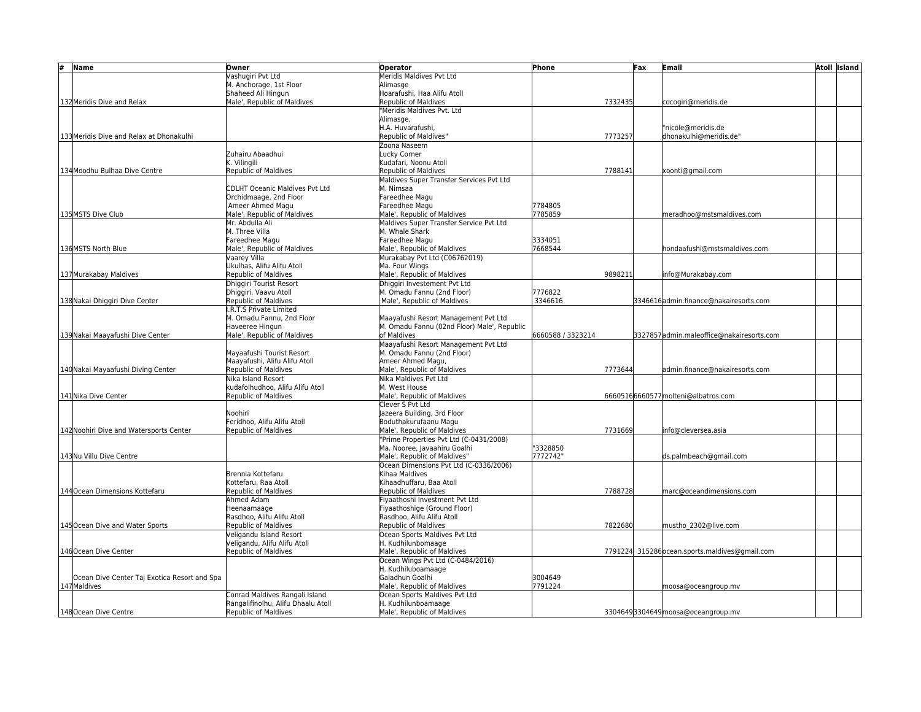| #<br>Name                                                    | Owner                                           | <b>Operator</b>                               | Phone              |         | Fax | Email                                          | <b>Atoll Island</b> |
|--------------------------------------------------------------|-------------------------------------------------|-----------------------------------------------|--------------------|---------|-----|------------------------------------------------|---------------------|
|                                                              | Vashugiri Pvt Ltd                               | Meridis Maldives Pvt Ltd                      |                    |         |     |                                                |                     |
|                                                              | M. Anchorage, 1st Floor                         | Alimasge                                      |                    |         |     |                                                |                     |
|                                                              | Shaheed Ali Hingun                              | Hoarafushi, Haa Alifu Atoll                   |                    |         |     |                                                |                     |
| 132 Meridis Dive and Relax                                   | Male', Republic of Maldives                     | <b>Republic of Maldives</b>                   |                    | 7332435 |     | cocogiri@meridis.de                            |                     |
|                                                              |                                                 | 'Meridis Maldives Pvt. Ltd                    |                    |         |     |                                                |                     |
|                                                              |                                                 | Alimasge,                                     |                    |         |     |                                                |                     |
|                                                              |                                                 | H.A. Huvarafushi,                             |                    |         |     | 'nicole@meridis.de                             |                     |
| 133 Meridis Dive and Relax at Dhonakulhi                     |                                                 | Republic of Maldives"                         |                    | 7773257 |     | dhonakulhi@meridis.de"                         |                     |
|                                                              |                                                 | Zoona Naseem                                  |                    |         |     |                                                |                     |
|                                                              | Zuhairu Abaadhui                                | Lucky Corner                                  |                    |         |     |                                                |                     |
|                                                              | K. Vilingili                                    | Kudafari, Noonu Atoll                         |                    |         |     |                                                |                     |
| 134 Moodhu Bulhaa Dive Centre                                | Republic of Maldives                            | Republic of Maldives                          |                    | 778814  |     | xoonti@gmail.com                               |                     |
|                                                              |                                                 | Maldives Super Transfer Services Pvt Ltd      |                    |         |     |                                                |                     |
|                                                              | <b>CDLHT Oceanic Maldives Pvt Ltd</b>           | M. Nimsaa                                     |                    |         |     |                                                |                     |
|                                                              | Orchidmaage, 2nd Floor                          | Fareedhee Magu                                |                    |         |     |                                                |                     |
| 135 MSTS Dive Club                                           | Ameer Ahmed Magu<br>Male', Republic of Maldives | Fareedhee Magu<br>Male', Republic of Maldives | 7784805<br>7785859 |         |     | meradhoo@mstsmaldives.com                      |                     |
|                                                              | Mr. Abdulla Ali                                 | Maldives Super Transfer Service Pvt Ltd       |                    |         |     |                                                |                     |
|                                                              | M. Three Villa                                  | M. Whale Shark                                |                    |         |     |                                                |                     |
|                                                              | Fareedhee Magu                                  | Fareedhee Magu                                | 3334051            |         |     |                                                |                     |
| 136 MSTS North Blue                                          | Male', Republic of Maldives                     | Male', Republic of Maldives                   | 7668544            |         |     | nondaafushi@mstsmaldives.com                   |                     |
|                                                              | Vaarev Villa                                    | Murakabay Pvt Ltd (C06762019)                 |                    |         |     |                                                |                     |
|                                                              | Ukulhas, Alifu Alifu Atoll                      | Ma. Four Wings                                |                    |         |     |                                                |                     |
| 137 Murakabay Maldives                                       | Republic of Maldives                            | Male', Republic of Maldives                   |                    | 9898211 |     | nfo@Murakabay.com                              |                     |
|                                                              | Dhiggiri Tourist Resort                         | Dhiggiri Investement Pyt Ltd                  |                    |         |     |                                                |                     |
|                                                              | Dhiggiri, Vaavu Atoll                           | M. Omadu Fannu (2nd Floor)                    | 7776822            |         |     |                                                |                     |
| 138 Nakai Dhiggiri Dive Center                               | Republic of Maldives                            | Male', Republic of Maldives                   | 3346616            |         |     | 3346616 admin.finance@nakairesorts.com         |                     |
|                                                              | .R.T.S Private Limited                          |                                               |                    |         |     |                                                |                     |
|                                                              | M. Omadu Fannu, 2nd Floor                       | Maayafushi Resort Management Pvt Ltd          |                    |         |     |                                                |                     |
|                                                              | Haveeree Hingun                                 | M. Omadu Fannu (02nd Floor) Male', Republic   |                    |         |     |                                                |                     |
| 139Nakai Maayafushi Dive Center                              | Male', Republic of Maldives                     | of Maldives                                   | 6660588 / 3323214  |         |     | 3327857admin.maleoffice@nakairesorts.com       |                     |
|                                                              |                                                 | Maayafushi Resort Management Pvt Ltd          |                    |         |     |                                                |                     |
|                                                              | Mayaafushi Tourist Resort                       | M. Omadu Fannu (2nd Floor)                    |                    |         |     |                                                |                     |
|                                                              | Maayafushi, Alifu Alifu Atoll                   | Ameer Ahmed Magu,                             |                    |         |     |                                                |                     |
| 140 Nakai Mayaafushi Diving Center                           | <b>Republic of Maldives</b>                     | Male', Republic of Maldives                   |                    | 7773644 |     | admin.finance@nakairesorts.com                 |                     |
|                                                              | Nika Island Resort                              | Nika Maldives Pyt Ltd                         |                    |         |     |                                                |                     |
|                                                              | kudafolhudhoo, Alifu Alifu Atoll                | M. West House                                 |                    |         |     |                                                |                     |
| 141Nika Dive Center                                          | <b>Republic of Maldives</b>                     | Male', Republic of Maldives                   |                    |         |     | 66605166660577 molteni@albatros.com            |                     |
|                                                              |                                                 | Clever S Pvt Ltd                              |                    |         |     |                                                |                     |
|                                                              | Noohiri                                         | azeera Building, 3rd Floor                    |                    |         |     |                                                |                     |
|                                                              | Feridhoo, Alifu Alifu Atoll                     | Boduthakurufaanu Magu                         |                    |         |     |                                                |                     |
| 142 Noohiri Dive and Watersports Center                      | Republic of Maldives                            | Male', Republic of Maldives                   |                    | 7731669 |     | nfo@cleversea.asia                             |                     |
|                                                              |                                                 | "Prime Properties Pvt Ltd (C-0431/2008)       |                    |         |     |                                                |                     |
|                                                              |                                                 | Ma. Nooree, Javaahiru Goalhi                  | '3328850           |         |     |                                                |                     |
| 143Nu Villu Dive Centre                                      |                                                 | Male', Republic of Maldives"                  | 7772742"           |         |     | ds.palmbeach@gmail.com                         |                     |
|                                                              |                                                 | Ocean Dimensions Pvt Ltd (C-0336/2006)        |                    |         |     |                                                |                     |
|                                                              | Brennia Kottefaru                               | Kihaa Maldives                                |                    |         |     |                                                |                     |
|                                                              | Kottefaru. Raa Atoll                            | Kihaadhuffaru. Baa Atoll                      |                    |         |     |                                                |                     |
| 144Ocean Dimensions Kottefaru                                | <b>Republic of Maldives</b>                     | Republic of Maldives                          |                    | 7788728 |     | marc@oceandimensions.com                       |                     |
|                                                              | Ahmed Adam                                      | Fiyaathoshi Investment Pvt Ltd                |                    |         |     |                                                |                     |
|                                                              | Heenaamaage                                     | Fiyaathoshige (Ground Floor)                  |                    |         |     |                                                |                     |
|                                                              | Rasdhoo, Alifu Alifu Atoll                      | Rasdhoo, Alifu Alifu Atoll                    |                    |         |     |                                                |                     |
| 145 Ocean Dive and Water Sports                              | <b>Republic of Maldives</b>                     | Republic of Maldives                          |                    | 7822680 |     | mustho 2302@live.com                           |                     |
|                                                              | Veligandu Island Resort                         | Ocean Sports Maldives Pvt Ltd                 |                    |         |     |                                                |                     |
|                                                              | Veligandu, Alifu Alifu Atoll                    | H. Kudhilunbomaage                            |                    |         |     |                                                |                     |
| 146 Ocean Dive Center                                        | Republic of Maldives                            | Male', Republic of Maldives                   |                    |         |     | 7791224 315286 ocean.sports.maldives@gmail.com |                     |
|                                                              |                                                 | Ocean Wings Pvt Ltd (C-0484/2016)             |                    |         |     |                                                |                     |
|                                                              |                                                 | H. Kudhiluboamaage<br>Galadhun Goalhi         | 3004649            |         |     |                                                |                     |
| Ocean Dive Center Taj Exotica Resort and Spa<br>147 Maldives |                                                 | Male', Republic of Maldives                   | 7791224            |         |     |                                                |                     |
|                                                              | Conrad Maldives Rangali Island                  | Ocean Sports Maldives Pvt Ltd                 |                    |         |     | moosa@oceangroup.mv                            |                     |
|                                                              | Rangalifinolhu, Alifu Dhaalu Atoll              | H. Kudhilunboamaage                           |                    |         |     |                                                |                     |
| 148 Ocean Dive Centre                                        | <b>Republic of Maldives</b>                     | Male', Republic of Maldives                   |                    |         |     | 33046493304649 moosa@oceangroup.mv             |                     |
|                                                              |                                                 |                                               |                    |         |     |                                                |                     |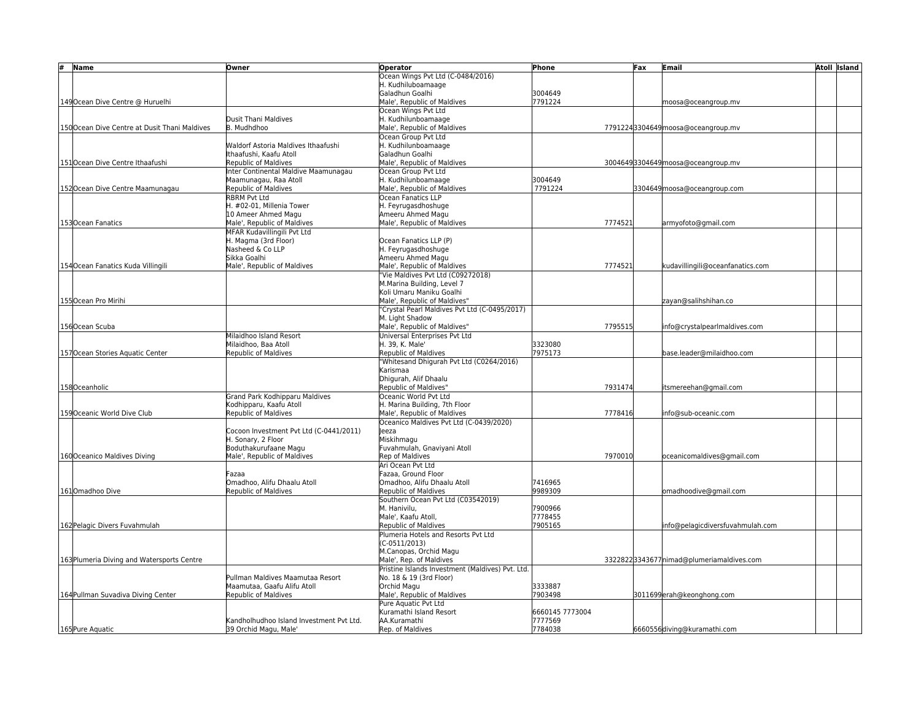| #<br>Name                                     | Owner                                         | <b>Operator</b>                                    | Phone              | Fax     | Email                                     | <b>Atoll Island</b> |
|-----------------------------------------------|-----------------------------------------------|----------------------------------------------------|--------------------|---------|-------------------------------------------|---------------------|
|                                               |                                               | Ocean Wings Pvt Ltd (C-0484/2016)                  |                    |         |                                           |                     |
|                                               |                                               | H. Kudhiluboamaage                                 |                    |         |                                           |                     |
|                                               |                                               | Galadhun Goalhi                                    | 3004649            |         |                                           |                     |
| 149 Ocean Dive Centre @ Huruelhi              |                                               | Male', Republic of Maldives                        | 7791224            |         | moosa@oceangroup.mv                       |                     |
|                                               |                                               | Ocean Wings Pvt Ltd                                |                    |         |                                           |                     |
|                                               | Dusit Thani Maldives                          | H. Kudhilunboamaage                                |                    |         |                                           |                     |
| 150 Ocean Dive Centre at Dusit Thani Maldives | B. Mudhdhoo                                   | Male', Republic of Maldives                        |                    |         | 77912243304649 moosa@oceangroup.mv        |                     |
|                                               |                                               | Ocean Group Pvt Ltd                                |                    |         |                                           |                     |
|                                               | Waldorf Astoria Maldives Ithaafushi           | H. Kudhilunboamaage                                |                    |         |                                           |                     |
|                                               | Ithaafushi, Kaafu Atoll                       | Galadhun Goalhi                                    |                    |         |                                           |                     |
| 151Ocean Dive Centre Ithaafushi               | Republic of Maldives                          | Male', Republic of Maldives                        |                    |         | 30046493304649 moosa@oceangroup.mv        |                     |
|                                               | nter Continental Maldive Maamunagau           | Ocean Group Pvt Ltd                                |                    |         |                                           |                     |
|                                               | Maamunagau, Raa Atoll<br>Republic of Maldives | H. Kudhilunboamaage<br>Male', Republic of Maldives | 3004649<br>7791224 |         |                                           |                     |
| 152Ocean Dive Centre Maamunagau               | <b>RBRM Pvt Ltd</b>                           | Ocean Fanatics LLP                                 |                    |         | 3304649 moosa@oceangroup.com              |                     |
|                                               | H. #02-01, Millenia Tower                     | H. Feyrugasdhoshuge                                |                    |         |                                           |                     |
|                                               | 10 Ameer Ahmed Magu                           | Ameeru Ahmed Magu                                  |                    |         |                                           |                     |
| 153Ocean Fanatics                             | Male', Republic of Maldives                   | Male', Republic of Maldives                        |                    | 7774521 | armyofoto@gmail.com                       |                     |
|                                               | MFAR Kudavillingili Pvt Ltd                   |                                                    |                    |         |                                           |                     |
|                                               | H. Magma (3rd Floor)                          | Ocean Fanatics LLP (P)                             |                    |         |                                           |                     |
|                                               | Nasheed & Co LLP                              | H. Feyrugasdhoshuge                                |                    |         |                                           |                     |
|                                               | Sikka Goalhi                                  | Ameeru Ahmed Magu                                  |                    |         |                                           |                     |
| 154Ocean Fanatics Kuda Villingili             | Male', Republic of Maldives                   | Male', Republic of Maldives                        |                    | 7774521 | kudavillingili@oceanfanatics.com          |                     |
|                                               |                                               | "Vie Maldives Pvt Ltd (C09272018)                  |                    |         |                                           |                     |
|                                               |                                               | M.Marina Building, Level 7                         |                    |         |                                           |                     |
|                                               |                                               | Koli Umaru Maniku Goalhi                           |                    |         |                                           |                     |
| 155Ocean Pro Mirihi                           |                                               | Male', Republic of Maldives"                       |                    |         | zayan@salihshihan.co                      |                     |
|                                               |                                               | "Crystal Pearl Maldives Pvt Ltd (C-0495/2017)      |                    |         |                                           |                     |
|                                               |                                               | M. Light Shadow                                    |                    |         |                                           |                     |
| 156Ocean Scuba                                |                                               | Male', Republic of Maldives"                       |                    | 7795515 | nfo@crystalpearlmaldives.com              |                     |
|                                               | Milaidhoo Island Resort                       | Universal Enterprises Pvt Ltd                      |                    |         |                                           |                     |
|                                               | Milaidhoo. Baa Atoll                          | H. 39. K. Male'                                    | 3323080            |         |                                           |                     |
| 157Ocean Stories Aquatic Center               | Republic of Maldives                          | Republic of Maldives                               | 7975173            |         | base.leader@milaidhoo.com                 |                     |
|                                               |                                               | "Whitesand Dhigurah Pvt Ltd (C0264/2016)           |                    |         |                                           |                     |
|                                               |                                               | Karismaa                                           |                    |         |                                           |                     |
|                                               |                                               | Dhigurah, Alif Dhaalu                              |                    |         |                                           |                     |
| 158Oceanholic                                 |                                               | Republic of Maldives"                              |                    | 7931474 | itsmereehan@gmail.com                     |                     |
|                                               | Grand Park Kodhipparu Maldives                | Oceanic World Pyt Ltd                              |                    |         |                                           |                     |
|                                               | Kodhipparu, Kaafu Atoll                       | H. Marina Building, 7th Floor                      |                    |         |                                           |                     |
| 159 Oceanic World Dive Club                   | Republic of Maldives                          | Male', Republic of Maldives                        |                    | 7778416 | info@sub-oceanic.com                      |                     |
|                                               |                                               | Oceanico Maldives Pvt Ltd (C-0439/2020)            |                    |         |                                           |                     |
|                                               | Cocoon Investment Pvt Ltd (C-0441/2011)       | lleeza                                             |                    |         |                                           |                     |
|                                               | H. Sonary, 2 Floor                            | Miskihmagu                                         |                    |         |                                           |                     |
|                                               | Boduthakurufaane Magu                         | Fuvahmulah, Gnaviyani Atoll                        |                    |         |                                           |                     |
| 160 Oceanico Maldives Diving                  | Male', Republic of Maldives                   | Rep of Maldives                                    |                    | 7970010 | oceanicomaldives@gmail.com                |                     |
|                                               |                                               | Ari Ocean Pvt Ltd                                  |                    |         |                                           |                     |
|                                               | Fazaa<br>Omadhoo, Alifu Dhaalu Atoll          | Fazaa, Ground Floor<br>Omadhoo. Alifu Dhaalu Atoll | 7416965            |         |                                           |                     |
| 161Omadhoo Dive                               | Republic of Maldives                          | Republic of Maldives                               | 9989309            |         | omadhoodive@gmail.com                     |                     |
|                                               |                                               | Southern Ocean Pvt Ltd (C03542019)                 |                    |         |                                           |                     |
|                                               |                                               | M. Hanivilu,                                       | 7900966            |         |                                           |                     |
|                                               |                                               | Male', Kaafu Atoll,                                | 7778455            |         |                                           |                     |
| 162 Pelagic Divers Fuvahmulah                 |                                               | Republic of Maldives                               | 7905165            |         | nfo@pelagicdiversfuvahmulah.com           |                     |
|                                               |                                               | Plumeria Hotels and Resorts Pvt Ltd                |                    |         |                                           |                     |
|                                               |                                               | $(C-0511/2013)$                                    |                    |         |                                           |                     |
|                                               |                                               | M.Canopas, Orchid Magu                             |                    |         |                                           |                     |
| 163 Plumeria Diving and Watersports Centre    |                                               | Male', Rep. of Maldives                            |                    |         | 33228223343677 nimad@plumeriamaldives.com |                     |
|                                               |                                               | Pristine Islands Investment (Maldives) Pvt. Ltd.   |                    |         |                                           |                     |
|                                               | Pullman Maldives Maamutaa Resort              | No. 18 & 19 (3rd Floor)                            |                    |         |                                           |                     |
|                                               | Maamutaa, Gaafu Alifu Atoll                   | Orchid Magu                                        | 3333887            |         |                                           |                     |
| 164 Pullman Suvadiva Diving Center            | Republic of Maldives                          | Male', Republic of Maldives                        | 7903498            |         | 3011699erah@keonghong.com                 |                     |
|                                               |                                               | Pure Aquatic Pvt Ltd                               |                    |         |                                           |                     |
|                                               |                                               | Kuramathi Island Resort                            | 6660145 7773004    |         |                                           |                     |
|                                               | Kandholhudhoo Island Investment Pvt Ltd.      | AA.Kuramathi                                       | 7777569            |         |                                           |                     |
| 165 Pure Aquatic                              | 39 Orchid Magu, Male'                         | Rep. of Maldives                                   | 7784038            |         | 6660556diving@kuramathi.com               |                     |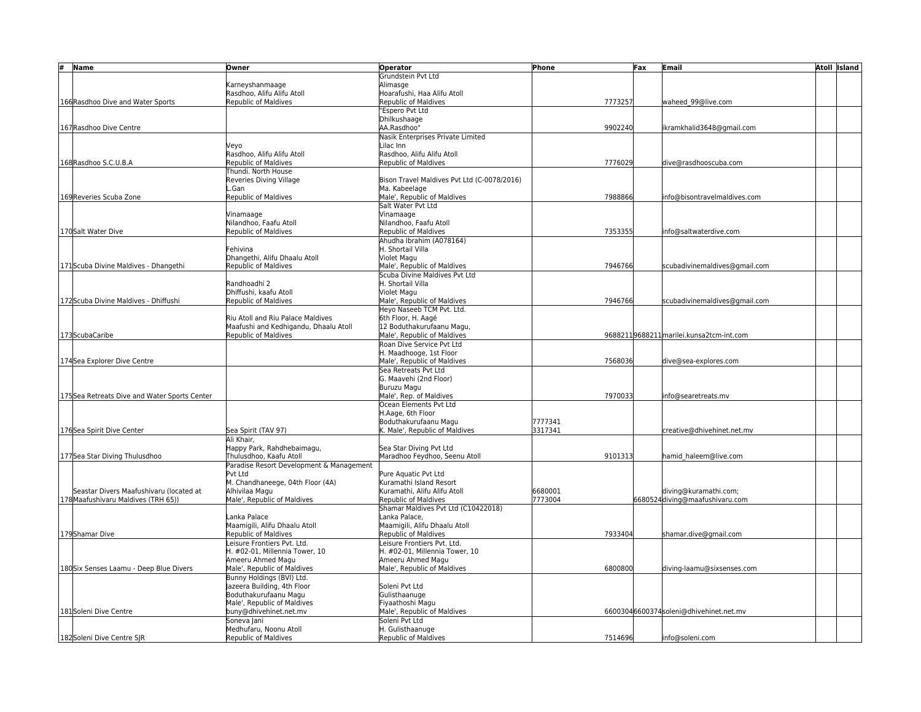| #<br>Name                                    | Owner                                                                | <b>Operator</b>                                          | Phone              | Fax | <b>Email</b>                             | <b>Atoll Island</b> |
|----------------------------------------------|----------------------------------------------------------------------|----------------------------------------------------------|--------------------|-----|------------------------------------------|---------------------|
|                                              |                                                                      | Grundstein Pvt Ltd                                       |                    |     |                                          |                     |
|                                              | Karneyshanmaage                                                      | Alimasge                                                 |                    |     |                                          |                     |
|                                              | Rasdhoo, Alifu Alifu Atoll                                           | Hoarafushi, Haa Alifu Atoll                              |                    |     |                                          |                     |
| 166 Rasdhoo Dive and Water Sports            | <b>Republic of Maldives</b>                                          | Republic of Maldives                                     | 7773257            |     | waheed 99@live.com                       |                     |
|                                              |                                                                      | "Espero Pvt Ltd<br>Dhilkushaage                          |                    |     |                                          |                     |
| 167 Rasdhoo Dive Centre                      |                                                                      | AA.Rasdhoo"                                              | 9902240            |     | ikramkhalid3648@gmail.com                |                     |
|                                              |                                                                      | Nasik Enterprises Private Limited                        |                    |     |                                          |                     |
|                                              | Veyo                                                                 | Lilac Inn                                                |                    |     |                                          |                     |
|                                              | Rasdhoo, Alifu Alifu Atoll                                           | Rasdhoo, Alifu Alifu Atoll                               |                    |     |                                          |                     |
| 168 Rasdhoo S.C.U.B.A                        | Republic of Maldives                                                 | Republic of Maldives                                     | 7776029            |     | dive@rasdhooscuba.com                    |                     |
|                                              | Thundi. North House                                                  |                                                          |                    |     |                                          |                     |
|                                              | Reveries Diving Village                                              | Bison Travel Maldives Pvt Ltd (C-0078/2016)              |                    |     |                                          |                     |
|                                              | Gan                                                                  | Ma. Kabeelage                                            |                    |     |                                          |                     |
| 169 Reveries Scuba Zone                      | <b>Republic of Maldives</b>                                          | Male', Republic of Maldives                              | 7988866            |     | nfo@bisontravelmaldives.com              |                     |
|                                              |                                                                      | Salt Water Pvt Ltd                                       |                    |     |                                          |                     |
|                                              | Vinamaage                                                            | Vinamaage                                                |                    |     |                                          |                     |
| 170Salt Water Dive                           | Nilandhoo, Faafu Atoll<br>Republic of Maldives                       | Nilandhoo, Faafu Atoll<br>Republic of Maldives           | 7353355            |     | nfo@saltwaterdive.com                    |                     |
|                                              |                                                                      | Ahudha Ibrahim (A078164)                                 |                    |     |                                          |                     |
|                                              | Fehivina                                                             | H. Shortail Villa                                        |                    |     |                                          |                     |
|                                              | Dhangethi, Alifu Dhaalu Atoll                                        | Violet Magu                                              |                    |     |                                          |                     |
| 171 Scuba Divine Maldives - Dhangethi        | <b>Republic of Maldives</b>                                          | Male', Republic of Maldives                              | 7946766            |     | scubadivinemaldives@gmail.com            |                     |
|                                              |                                                                      | Scuba Divine Maldives Pvt Ltd                            |                    |     |                                          |                     |
|                                              | Randhoadhi 2                                                         | H. Shortail Villa                                        |                    |     |                                          |                     |
|                                              | İDhiffushi. kaafu Atoll                                              | Violet Magu                                              |                    |     |                                          |                     |
| 172 Scuba Divine Maldives - Dhiffushi        | Republic of Maldives                                                 | Male', Republic of Maldives                              | 7946766            |     | scubadivinemaldives@gmail.com            |                     |
|                                              |                                                                      | Heyo Naseeb TCM Pvt. Ltd.                                |                    |     |                                          |                     |
|                                              | Riu Atoll and Riu Palace Maldives                                    | 6th Floor, H. Aagé                                       |                    |     |                                          |                     |
|                                              | Maafushi and Kedhigandu, Dhaalu Atoll<br><b>Republic of Maldives</b> | 12 Boduthakurufaanu Magu,                                |                    |     | 96882119688211 marilei.kunsa2tcm-int.com |                     |
| 173ScubaCaribe                               |                                                                      | Male', Republic of Maldives<br>Roan Dive Service Pyt Ltd |                    |     |                                          |                     |
|                                              |                                                                      | H. Maadhooge, 1st Floor                                  |                    |     |                                          |                     |
| 174Sea Explorer Dive Centre                  |                                                                      | Male', Republic of Maldives                              | 7568036            |     | dive@sea-explores.com                    |                     |
|                                              |                                                                      | Sea Retreats Pvt Ltd                                     |                    |     |                                          |                     |
|                                              |                                                                      | G. Maavehi (2nd Floor)                                   |                    |     |                                          |                     |
|                                              |                                                                      | Buruzu Magu                                              |                    |     |                                          |                     |
| 175Sea Retreats Dive and Water Sports Center |                                                                      | Male', Rep. of Maldives                                  | 7970033            |     | nfo@searetreats.mv                       |                     |
|                                              |                                                                      | Ocean Elements Pvt Ltd                                   |                    |     |                                          |                     |
|                                              |                                                                      | H.Aage, 6th Floor                                        |                    |     |                                          |                     |
|                                              | Sea Spirit (TAV 97)                                                  | Boduthakurufaanu Magu                                    | 7777341<br>3317341 |     |                                          |                     |
| 176Sea Spirit Dive Center                    | Ali Khair,                                                           | K. Male', Republic of Maldives                           |                    |     | reative@dhivehinet.net.mv                |                     |
|                                              | Happy Park, Rahdhebaimagu,                                           | Sea Star Diving Pvt Ltd                                  |                    |     |                                          |                     |
| 177Sea Star Diving Thulusdhoo                | Thulusdhoo, Kaafu Atoll                                              | Maradhoo Feydhoo, Seenu Atoll                            | 9101313            |     | hamid haleem@live.com                    |                     |
|                                              | Paradise Resort Development & Management                             |                                                          |                    |     |                                          |                     |
|                                              | Pvt Ltd                                                              | Pure Aquatic Pvt Ltd                                     |                    |     |                                          |                     |
|                                              | M. Chandhaneege, 04th Floor (4A)                                     | Kuramathi Island Resort                                  |                    |     |                                          |                     |
| Seastar Divers Maafushivaru (located at      | Alhivilaa Magu                                                       | Kuramathi, Alifu Alifu Atoll                             | 6680001            |     | diving@kuramathi.com;                    |                     |
| 178 Maafushivaru Maldives (TRH 65))          | Male', Republic of Maldives                                          | Republic of Maldives                                     | 7773004            |     | 6680524diving@maafushivaru.com           |                     |
|                                              |                                                                      | Shamar Maldives Pvt Ltd (C10422018)                      |                    |     |                                          |                     |
|                                              | Lanka Palace                                                         | Lanka Palace,                                            |                    |     |                                          |                     |
| 179Shamar Dive                               | Maamigili, Alifu Dhaalu Atoll<br>Republic of Maldives                | Maamigili, Alifu Dhaalu Atoll<br>Republic of Maldives    | 7933404            |     | shamar.dive@gmail.com                    |                     |
|                                              | Leisure Frontiers Pyt. Ltd.                                          | Leisure Frontiers Pyt. Ltd.                              |                    |     |                                          |                     |
|                                              | H. #02-01, Millennia Tower, 10                                       | H. #02-01, Millennia Tower, 10                           |                    |     |                                          |                     |
|                                              | Ameeru Ahmed Magu                                                    | Ameeru Ahmed Magu                                        |                    |     |                                          |                     |
| 180Six Senses Laamu - Deep Blue Divers       | Male', Republic of Maldives                                          | Male', Republic of Maldives                              | 6800800            |     | diving-laamu@sixsenses.com               |                     |
|                                              | Bunny Holdings (BVI) Ltd.                                            |                                                          |                    |     |                                          |                     |
|                                              | Jazeera Building, 4th Floor                                          | Soleni Pvt Ltd                                           |                    |     |                                          |                     |
|                                              | Boduthakurufaanu Magu                                                | Gulisthaanuge                                            |                    |     |                                          |                     |
|                                              | Male', Republic of Maldives                                          | Fiyaathoshi Magu                                         |                    |     |                                          |                     |
| 181Soleni Dive Centre                        | buny@dhivehinet.net.mv                                               | Male', Republic of Maldives                              |                    |     | 66003046600374soleni@dhivehinet.net.mv   |                     |
|                                              | Soneva Jani<br>Medhufaru, Noonu Atoll                                | Soleni Pvt Ltd<br>H. Gulisthaanuge                       |                    |     |                                          |                     |
| 182Soleni Dive Centre SJR                    | Republic of Maldives                                                 | Republic of Maldives                                     | 7514696            |     | info@soleni.com                          |                     |
|                                              |                                                                      |                                                          |                    |     |                                          |                     |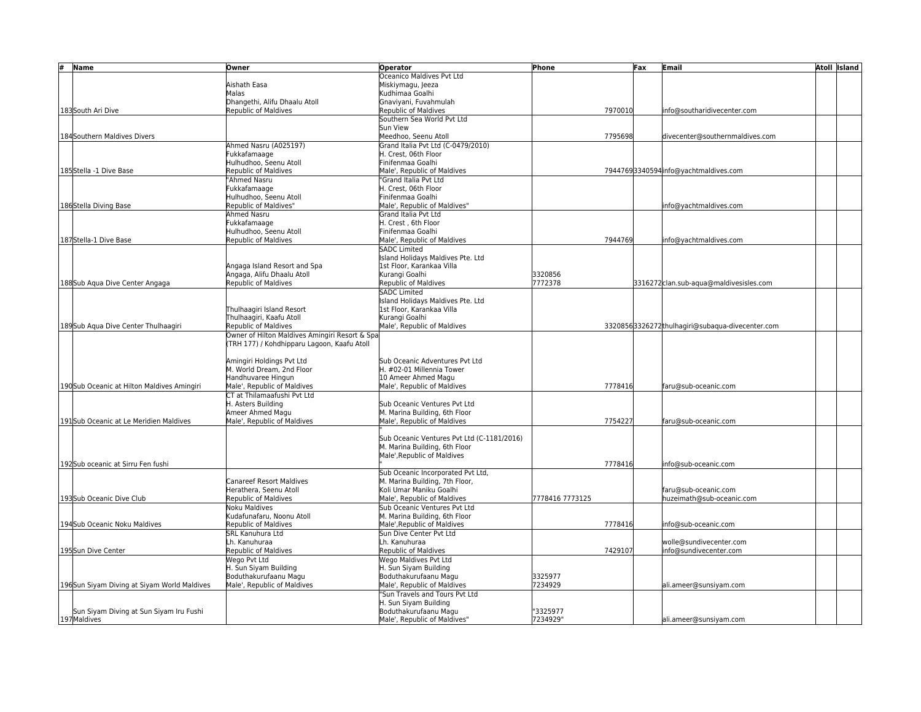| #<br><b>Name</b>                            | lOwner                                         | <b>Operator</b>                              | Phone           |         | Fax | Email                                            | <b>Atoll Island</b> |
|---------------------------------------------|------------------------------------------------|----------------------------------------------|-----------------|---------|-----|--------------------------------------------------|---------------------|
|                                             |                                                | Oceanico Maldives Pvt Ltd                    |                 |         |     |                                                  |                     |
|                                             | Aishath Easa                                   | Miskiymagu, Jeeza                            |                 |         |     |                                                  |                     |
|                                             | Malas                                          | Kudhimaa Goalhi                              |                 |         |     |                                                  |                     |
|                                             | Dhangethi, Alifu Dhaalu Atoll                  | Gnaviyani, Fuvahmulah                        |                 |         |     |                                                  |                     |
| 183 South Ari Dive                          | Republic of Maldives                           | Republic of Maldives                         |                 | 7970010 |     | nfo@southaridivecenter.com                       |                     |
|                                             |                                                | Southern Sea World Pyt Ltd                   |                 |         |     |                                                  |                     |
|                                             |                                                | Sun View                                     |                 |         |     |                                                  |                     |
| 184 Southern Maldives Divers                |                                                | Meedhoo, Seenu Atoll                         |                 | 7795698 |     | divecenter@southernmaldives.com                  |                     |
|                                             | Ahmed Nasru (A025197)                          | Grand Italia Pvt Ltd (C-0479/2010)           |                 |         |     |                                                  |                     |
|                                             | Fukkafamaage                                   | H. Crest, 06th Floor                         |                 |         |     |                                                  |                     |
|                                             | Hulhudhoo, Seenu Atoll                         | Finifenmaa Goalhi                            |                 |         |     |                                                  |                     |
| 185Stella -1 Dive Base                      | <b>Republic of Maldives</b>                    | Male', Republic of Maldives                  |                 |         |     | 79447693340594info@yachtmaldives.com             |                     |
|                                             | "Ahmed Nasru                                   | "Grand Italia Pvt Ltd                        |                 |         |     |                                                  |                     |
|                                             | Fukkafamaage                                   | H. Crest, 06th Floor                         |                 |         |     |                                                  |                     |
|                                             | Hulhudhoo, Seenu Atoll                         | Finifenmaa Goalhi                            |                 |         |     |                                                  |                     |
| 186Stella Diving Base                       | Republic of Maldives"                          | Male', Republic of Maldives"                 |                 |         |     | nfo@yachtmaldives.com                            |                     |
|                                             | Ahmed Nasru                                    | Grand Italia Pvt Ltd<br>H. Crest . 6th Floor |                 |         |     |                                                  |                     |
|                                             | Fukkafamaage<br>Hulhudhoo, Seenu Atoll         | Finifenmaa Goalhi                            |                 |         |     |                                                  |                     |
| 187Stella-1 Dive Base                       | Republic of Maldives                           | Male', Republic of Maldives                  |                 | 7944769 |     |                                                  |                     |
|                                             |                                                | <b>SADC Limited</b>                          |                 |         |     | nfo@yachtmaldives.com                            |                     |
|                                             |                                                | Island Holidays Maldives Pte. Ltd            |                 |         |     |                                                  |                     |
|                                             | Angaga Island Resort and Spa                   | 1st Floor, Karankaa Villa                    |                 |         |     |                                                  |                     |
|                                             | Angaga, Alifu Dhaalu Atoll                     | Kurangi Goalhi                               | 3320856         |         |     |                                                  |                     |
| 188Sub Aqua Dive Center Angaga              | Republic of Maldives                           | Republic of Maldives                         | 7772378         |         |     | 3316272 clan.sub-aqua@maldivesisles.com          |                     |
|                                             |                                                | <b>SADC Limited</b>                          |                 |         |     |                                                  |                     |
|                                             |                                                | Island Holidays Maldives Pte. Ltd            |                 |         |     |                                                  |                     |
|                                             | Thulhaagiri Island Resort                      | 1st Floor, Karankaa Villa                    |                 |         |     |                                                  |                     |
|                                             | Thulhaagiri, Kaafu Atoll                       | Kurangi Goalhi                               |                 |         |     |                                                  |                     |
| 189Sub Aqua Dive Center Thulhaagiri         | Republic of Maldives                           | Male', Republic of Maldives                  |                 |         |     | 33208563326272 thulhagiri@subaqua-divecenter.com |                     |
|                                             | Owner of Hilton Maldives Amingiri Resort & Spa |                                              |                 |         |     |                                                  |                     |
|                                             | (TRH 177) / Kohdhipparu Lagoon, Kaafu Atoll    |                                              |                 |         |     |                                                  |                     |
|                                             |                                                |                                              |                 |         |     |                                                  |                     |
|                                             | Amingiri Holdings Pvt Ltd                      | Sub Oceanic Adventures Pvt Ltd               |                 |         |     |                                                  |                     |
|                                             | M. World Dream, 2nd Floor                      | H. #02-01 Millennia Tower                    |                 |         |     |                                                  |                     |
|                                             | Handhuvaree Hingun                             | 10 Ameer Ahmed Magu                          |                 |         |     |                                                  |                     |
| 190Sub Oceanic at Hilton Maldives Amingiri  | Male', Republic of Maldives                    | Male', Republic of Maldives                  |                 | 7778416 |     | faru@sub-oceanic.com                             |                     |
|                                             | CT at Thilamaafushi Pyt Ltd                    |                                              |                 |         |     |                                                  |                     |
|                                             | H. Asters Building                             | Sub Oceanic Ventures Pyt Ltd                 |                 |         |     |                                                  |                     |
|                                             | Ameer Ahmed Magu                               | M. Marina Building, 6th Floor                |                 |         |     |                                                  |                     |
| 1915ub Oceanic at Le Meridien Maldives      | Male', Republic of Maldives                    | Male', Republic of Maldives                  |                 | 7754227 |     | faru@sub-oceanic.com                             |                     |
|                                             |                                                |                                              |                 |         |     |                                                  |                     |
|                                             |                                                | Sub Oceanic Ventures Pvt Ltd (C-1181/2016)   |                 |         |     |                                                  |                     |
|                                             |                                                | M. Marina Building, 6th Floor                |                 |         |     |                                                  |                     |
|                                             |                                                | Male', Republic of Maldives                  |                 |         |     |                                                  |                     |
| 192Sub oceanic at Sirru Fen fushi           |                                                |                                              |                 | 7778416 |     | nfo@sub-oceanic.com                              |                     |
|                                             |                                                | Sub Oceanic Incorporated Pvt Ltd,            |                 |         |     |                                                  |                     |
|                                             | <b>Canareef Resort Maldives</b>                | M. Marina Building, 7th Floor,               |                 |         |     |                                                  |                     |
|                                             | Herathera, Seenu Atoll                         | Koli Umar Maniku Goalhi                      |                 |         |     | faru@sub-oceanic.com                             |                     |
| 193 Sub Oceanic Dive Club                   | <b>Republic of Maldives</b>                    | Male', Republic of Maldives                  | 7778416 7773125 |         |     | huzeimath@sub-oceanic.com                        |                     |
|                                             | Noku Maldives                                  | Sub Oceanic Ventures Pvt Ltd                 |                 |         |     |                                                  |                     |
|                                             | Kudafunafaru, Noonu Atoll                      | M. Marina Building, 6th Floor                |                 |         |     |                                                  |                     |
| 194Sub Oceanic Noku Maldives                | <b>Republic of Maldives</b>                    | Male', Republic of Maldives                  |                 | 7778416 |     | nfo@sub-oceanic.com                              |                     |
|                                             | SRL Kanuhura Ltd                               | Sun Dive Center Pvt Ltd                      |                 |         |     |                                                  |                     |
|                                             | Lh. Kanuhuraa                                  | Lh. Kanuhuraa                                |                 |         |     | wolle@sundivecenter.com                          |                     |
| 195Sun Dive Center                          | Republic of Maldives                           | Republic of Maldives                         |                 | 7429107 |     | nfo@sundivecenter.com                            |                     |
|                                             | Wego Pvt Ltd                                   | Wego Maldives Pvt Ltd                        |                 |         |     |                                                  |                     |
|                                             | H. Sun Siyam Building                          | H. Sun Siyam Building                        |                 |         |     |                                                  |                     |
|                                             | Boduthakurufaanu Magu                          | Boduthakurufaanu Magu                        | 3325977         |         |     |                                                  |                     |
| 196Sun Siyam Diving at Siyam World Maldives | Male', Republic of Maldives                    | Male', Republic of Maldives                  | 7234929         |         |     | ali.ameer@sunsiyam.com                           |                     |
|                                             |                                                | 'Sun Travels and Tours Pvt Ltd               |                 |         |     |                                                  |                     |
|                                             |                                                | H. Sun Siyam Building                        |                 |         |     |                                                  |                     |
| Sun Siyam Diving at Sun Siyam Iru Fushi     |                                                | Boduthakurufaanu Magu                        | '3325977        |         |     |                                                  |                     |
| 197 Maldives                                |                                                | Male', Republic of Maldives"                 | 7234929"        |         |     | ali.ameer@sunsiyam.com                           |                     |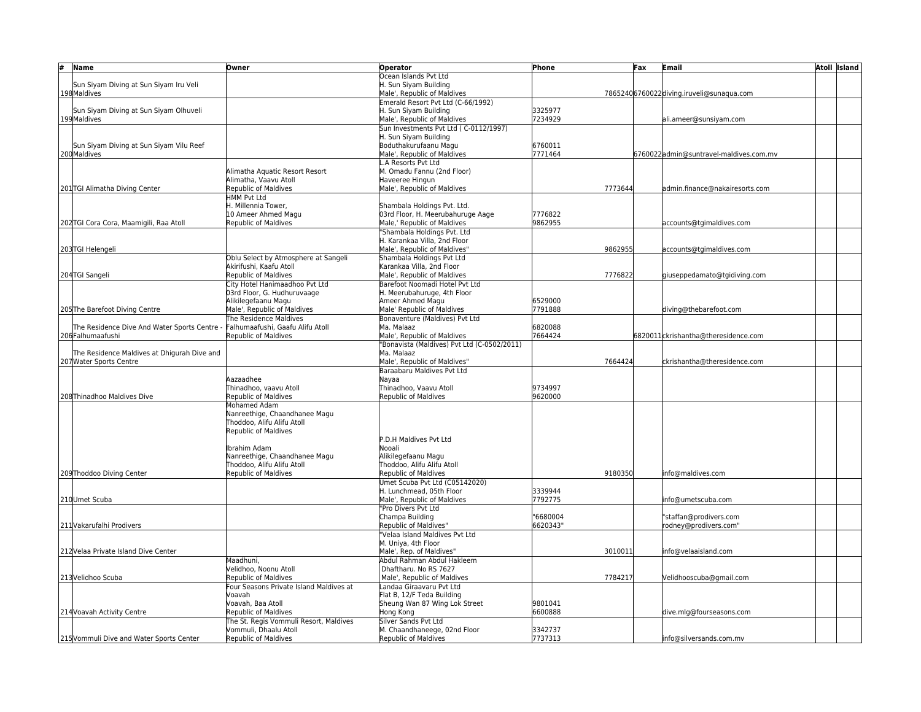| #<br><b>Name</b>                             | Owner                                                           | <b>Operator</b>                                                | Phone              | Fax | Email                                    | <b>Atoll Island</b> |
|----------------------------------------------|-----------------------------------------------------------------|----------------------------------------------------------------|--------------------|-----|------------------------------------------|---------------------|
|                                              |                                                                 | Ocean Islands Pvt Ltd                                          |                    |     |                                          |                     |
| Sun Siyam Diving at Sun Siyam Iru Veli       |                                                                 | H. Sun Siyam Building                                          |                    |     |                                          |                     |
| 198Maldives                                  |                                                                 | Male', Republic of Maldives                                    |                    |     | 78652406760022diving.iruveli@sunaqua.com |                     |
|                                              |                                                                 | Emerald Resort Pvt Ltd (C-66/1992)                             |                    |     |                                          |                     |
| Sun Siyam Diving at Sun Siyam Olhuveli       |                                                                 | H. Sun Siyam Building                                          | 3325977            |     |                                          |                     |
| 199 Maldives                                 |                                                                 | Male', Republic of Maldives                                    | 7234929            |     | ali.ameer@sunsiyam.com                   |                     |
|                                              |                                                                 | Sun Investments Pvt Ltd (C-0112/1997)<br>H. Sun Siyam Building |                    |     |                                          |                     |
| Sun Siyam Diving at Sun Siyam Vilu Reef      |                                                                 | Boduthakurufaanu Magu                                          | 6760011            |     |                                          |                     |
| 200Maldives                                  |                                                                 | Male', Republic of Maldives                                    | 7771464            |     | 6760022admin@suntravel-maldives.com.mv   |                     |
|                                              |                                                                 | L.A Resorts Pyt Ltd                                            |                    |     |                                          |                     |
|                                              | Alimatha Aquatic Resort Resort                                  | M. Omadu Fannu (2nd Floor)                                     |                    |     |                                          |                     |
|                                              | Alimatha, Vaavu Atoll                                           | Haveeree Hingun                                                |                    |     |                                          |                     |
| 201 TGI Alimatha Diving Center               | <b>Republic of Maldives</b>                                     | Male', Republic of Maldives                                    | 7773644            |     | admin.finance@nakairesorts.com           |                     |
|                                              | <b>HMM Pvt Ltd</b>                                              |                                                                |                    |     |                                          |                     |
|                                              | H. Millennia Tower.                                             | Shambala Holdings Pvt. Ltd.                                    |                    |     |                                          |                     |
|                                              | 10 Ameer Ahmed Magu                                             | 03rd Floor, H. Meerubahuruge Aage                              | 7776822            |     |                                          |                     |
| 202TGI Cora Cora, Maamigili, Raa Atoll       | Republic of Maldives                                            | Male,' Republic of Maldives                                    | 9862955            |     | accounts@tgimaldives.com                 |                     |
|                                              |                                                                 | "Shambala Holdings Pvt. Ltd                                    |                    |     |                                          |                     |
|                                              |                                                                 | H. Karankaa Villa. 2nd Floor                                   |                    |     |                                          |                     |
| 203TGI Helengeli                             |                                                                 | Male', Republic of Maldives"                                   | 9862955            |     | accounts@tgimaldives.com                 |                     |
|                                              | Oblu Select by Atmosphere at Sangeli                            | Shambala Holdings Pvt Ltd                                      |                    |     |                                          |                     |
|                                              | Akirifushi, Kaafu Atoll                                         | Karankaa Villa, 2nd Floor                                      |                    |     |                                          |                     |
| 204TGI Sangeli                               | <b>Republic of Maldives</b>                                     | Male', Republic of Maldives                                    | 7776822            |     | giuseppedamato@tgidiving.com             |                     |
|                                              | City Hotel Hanimaadhoo Pvt Ltd                                  | Barefoot Noomadi Hotel Pvt Ltd                                 |                    |     |                                          |                     |
|                                              | 03rd Floor, G. Hudhuruvaage                                     | H. Meerubahuruge, 4th Floor                                    |                    |     |                                          |                     |
| 205The Barefoot Diving Centre                | Alikilegefaanu Magu<br>Male', Republic of Maldives              | Ameer Ahmed Magu<br>Male' Republic of Maldives                 | 6529000<br>7791888 |     | diving@thebarefoot.com                   |                     |
|                                              | The Residence Maldives                                          | Bonaventure (Maldives) Pvt Ltd                                 |                    |     |                                          |                     |
| The Residence Dive And Water Sports Centre - | Falhumaafushi, Gaafu Alifu Atoll                                | Ma. Malaaz                                                     | 6820088            |     |                                          |                     |
| 206Falhumaafushi                             | Republic of Maldives                                            | Male', Republic of Maldives                                    | 7664424            |     | 6820011 ckrishantha@theresidence.com     |                     |
|                                              |                                                                 | "Bonavista (Maldives) Pvt Ltd (C-0502/2011)                    |                    |     |                                          |                     |
| The Residence Maldives at Dhigurah Dive and  |                                                                 | Ma. Malaaz                                                     |                    |     |                                          |                     |
| 207 Water Sports Centre                      |                                                                 | Male', Republic of Maldives"                                   | 7664424            |     | ckrishantha@theresidence.com             |                     |
|                                              |                                                                 | Baraabaru Maldives Pvt Ltd                                     |                    |     |                                          |                     |
|                                              | Aazaadhee                                                       | Nayaa                                                          |                    |     |                                          |                     |
|                                              | Thinadhoo, vaavu Atoll                                          | lThinadhoo. Vaavu Atoll                                        | 9734997            |     |                                          |                     |
| 208 Thinadhoo Maldives Dive                  | <b>Republic of Maldives</b>                                     | Republic of Maldives                                           | 9620000            |     |                                          |                     |
|                                              | Mohamed Adam                                                    |                                                                |                    |     |                                          |                     |
|                                              | Nanreethige, Chaandhanee Magu                                   |                                                                |                    |     |                                          |                     |
|                                              | Thoddoo, Alifu Alifu Atoll                                      |                                                                |                    |     |                                          |                     |
|                                              | <b>Republic of Maldives</b>                                     |                                                                |                    |     |                                          |                     |
|                                              |                                                                 | P.D.H Maldives Pvt Ltd                                         |                    |     |                                          |                     |
|                                              | Ibrahim Adam                                                    | Nooali                                                         |                    |     |                                          |                     |
|                                              | Nanreethige, Chaandhanee Magu<br>Thoddoo, Alifu Alifu Atoll     | Alikilegefaanu Magu<br>Thoddoo, Alifu Alifu Atoll              |                    |     |                                          |                     |
| 209 Thoddoo Diving Center                    | <b>Republic of Maldives</b>                                     | Republic of Maldives                                           | 9180350            |     | nfo@maldives.com                         |                     |
|                                              |                                                                 | Umet Scuba Pvt Ltd (C05142020)                                 |                    |     |                                          |                     |
|                                              |                                                                 | H. Lunchmead, 05th Floor                                       | 3339944            |     |                                          |                     |
| 210 Umet Scuba                               |                                                                 | Male', Republic of Maldives                                    | 7792775            |     | nfo@umetscuba.com                        |                     |
|                                              |                                                                 | 'Pro Divers Pyt Ltd                                            |                    |     |                                          |                     |
|                                              |                                                                 | Champa Building                                                | '6680004           |     | "staffan@prodivers.com                   |                     |
| 211 Vakarufalhi Prodivers                    |                                                                 | Republic of Maldives"                                          | 6620343"           |     | rodney@prodivers.com"                    |                     |
|                                              |                                                                 | "Velaa Island Maldives Pvt Ltd                                 |                    |     |                                          |                     |
|                                              |                                                                 | M. Uniya, 4th Floor                                            |                    |     |                                          |                     |
| 212 Velaa Private Island Dive Center         |                                                                 | Male', Rep. of Maldives"                                       | 301001             |     | nfo@velaaisland.com                      |                     |
|                                              | Maadhuni.                                                       | Abdul Rahman Abdul Hakleem                                     |                    |     |                                          |                     |
|                                              | Velidhoo, Noonu Atoll                                           | Dhaftharu. No RS 7627                                          |                    |     |                                          |                     |
| 213 Velidhoo Scuba                           | <b>Republic of Maldives</b>                                     | Male', Republic of Maldives                                    | 7784217            |     | Velidhooscuba@gmail.com                  |                     |
|                                              | Four Seasons Private Island Maldives at                         | Landaa Giraavaru Pvt Ltd                                       |                    |     |                                          |                     |
|                                              | Voavah                                                          | Flat B, 12/F Teda Building                                     |                    |     |                                          |                     |
|                                              | Voavah, Baa Atoll                                               | Sheung Wan 87 Wing Lok Street                                  | 9801041<br>6600888 |     |                                          |                     |
| 214 Voavah Activity Centre                   | Republic of Maldives                                            | Hong Kong<br>Silver Sands Pvt Ltd                              |                    |     | dive.mlg@fourseasons.com                 |                     |
|                                              | The St. Regis Vommuli Resort, Maldives<br>Vommuli, Dhaalu Atoll | M. Chaandhaneege, 02nd Floor                                   | 3342737            |     |                                          |                     |
| 215 Vommuli Dive and Water Sports Center     | Republic of Maldives                                            | Republic of Maldives                                           | 7737313            |     | info@silversands.com.mv                  |                     |
|                                              |                                                                 |                                                                |                    |     |                                          |                     |